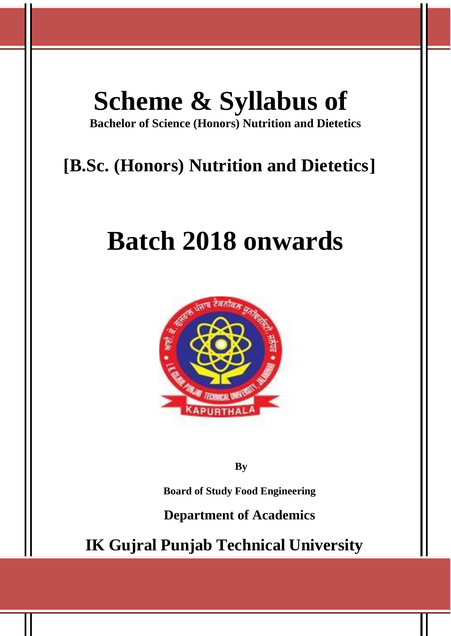# **Scheme & Syllabus of**

**Bachelor of Science (Honors) Nutrition and Dietetics**

# **[B.Sc. (Honors) Nutrition and Dietetics]**

# **Batch 2018 onwards**



**By**

**Board of Study Food Engineering**

**Department of Academics**

**IK Gujral Punjab Technical University**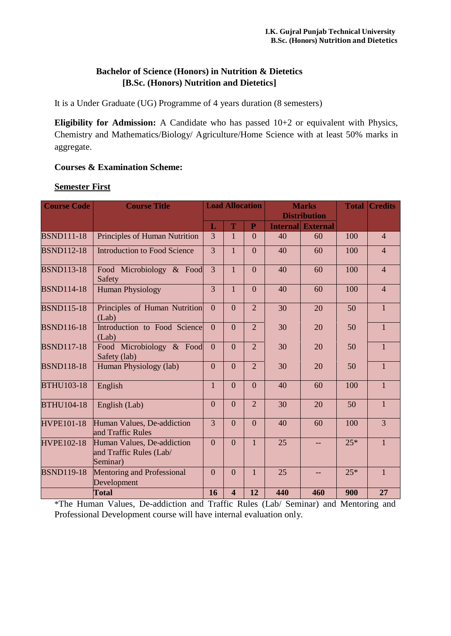# **Bachelor of Science (Honors) in Nutrition & Dietetics [B.Sc. (Honors) Nutrition and Dietetics]**

It is a Under Graduate (UG) Programme of 4 years duration (8 semesters)

**Eligibility for Admission:** A Candidate who has passed 10+2 or equivalent with Physics, Chemistry and Mathematics/Biology/ Agriculture/Home Science with at least 50% marks in aggregate.

# **Courses & Examination Scheme:**

# **Semester First**

| <b>Course Code</b> | <b>Course Title</b>                                               | <b>Load Allocation</b><br><b>Marks</b><br><b>Distribution</b> |                         |                | <b>Total Credits</b> |                          |       |                |
|--------------------|-------------------------------------------------------------------|---------------------------------------------------------------|-------------------------|----------------|----------------------|--------------------------|-------|----------------|
|                    |                                                                   | L                                                             | T                       | ${\bf P}$      |                      | <b>Internal External</b> |       |                |
| <b>BSND111-18</b>  | Principles of Human Nutrition                                     | 3                                                             | $\mathbf{1}$            | $\overline{0}$ | 40                   | 60                       | 100   | $\overline{4}$ |
| <b>BSND112-18</b>  | <b>Introduction to Food Science</b>                               | $\overline{3}$                                                | $\mathbf{1}$            | $\Omega$       | 40                   | 60                       | 100   | $\overline{4}$ |
| <b>BSND113-18</b>  | Food Microbiology & Food<br>Safety                                | $\overline{3}$                                                | $\mathbf{1}$            | $\Omega$       | 40                   | 60                       | 100   | $\overline{4}$ |
| <b>BSND114-18</b>  | <b>Human Physiology</b>                                           | 3                                                             | $\mathbf{1}$            | $\overline{0}$ | 40                   | 60                       | 100   | $\overline{4}$ |
| <b>BSND115-18</b>  | Principles of Human Nutrition<br>(Lab)                            | $\overline{0}$                                                | $\theta$                | $\overline{2}$ | 30                   | 20                       | 50    | $\mathbf{1}$   |
| <b>BSND116-18</b>  | Introduction to Food Science<br>(Lab)                             | $\overline{0}$                                                | $\overline{0}$          | $\overline{2}$ | 30                   | 20                       | 50    | $\mathbf{1}$   |
| <b>BSND117-18</b>  | Food Microbiology & Food<br>Safety (lab)                          | $\overline{0}$                                                | $\overline{0}$          | $\overline{2}$ | 30                   | 20                       | 50    | $\mathbf{1}$   |
| <b>BSND118-18</b>  | Human Physiology (lab)                                            | $\overline{0}$                                                | $\overline{0}$          | $\overline{2}$ | 30                   | 20                       | 50    | $\mathbf{1}$   |
| <b>BTHU103-18</b>  | English                                                           | 1                                                             | $\mathbf{0}$            | $\overline{0}$ | 40                   | 60                       | 100   | $\mathbf{1}$   |
| <b>BTHU104-18</b>  | English (Lab)                                                     | $\overline{0}$                                                | $\overline{0}$          | $\overline{2}$ | 30                   | 20                       | 50    | $\mathbf{1}$   |
| <b>HVPE101-18</b>  | Human Values, De-addiction<br>and Traffic Rules                   | $\overline{3}$                                                | $\overline{0}$          | $\Omega$       | 40                   | 60                       | 100   | $\overline{3}$ |
| <b>HVPE102-18</b>  | Human Values, De-addiction<br>and Traffic Rules (Lab/<br>Seminar) | $\Omega$                                                      | $\overline{0}$          | $\mathbf{1}$   | 25                   |                          | $25*$ | $\mathbf{1}$   |
| <b>BSND119-18</b>  | Mentoring and Professional<br>Development                         | $\overline{0}$                                                | $\overline{0}$          | $\mathbf{1}$   | 25                   |                          | $25*$ | $\mathbf{1}$   |
|                    | <b>Total</b>                                                      | 16                                                            | $\overline{\mathbf{4}}$ | 12             | 440                  | 460                      | 900   | 27             |

\*The Human Values, De-addiction and Traffic Rules (Lab/ Seminar) and Mentoring and Professional Development course will have internal evaluation only.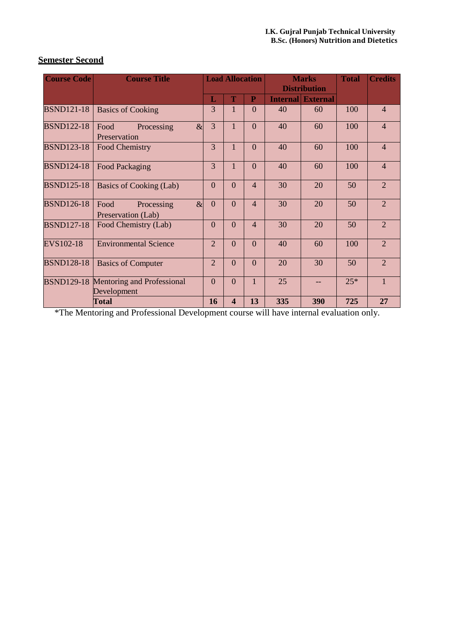| <b>Semester Second</b> |  |
|------------------------|--|
|------------------------|--|

| <b>Course Code</b> | <b>Course Title</b>                                  | <b>Load Allocation</b>      |                         | <b>Marks</b>   |                 | <b>Total</b>        | <b>Credits</b> |                |
|--------------------|------------------------------------------------------|-----------------------------|-------------------------|----------------|-----------------|---------------------|----------------|----------------|
|                    |                                                      |                             |                         |                |                 | <b>Distribution</b> |                |                |
|                    |                                                      | L                           | T                       | $\mathbf{P}$   | <b>Internal</b> | <b>External</b>     |                |                |
| <b>BSND121-18</b>  | <b>Basics of Cooking</b>                             | 3                           |                         | $\overline{0}$ | 40              | 60                  | 100            | $\overline{4}$ |
| <b>BSND122-18</b>  | $\alpha$<br>Food<br>Processing<br>Preservation       | $\overline{3}$              |                         | $\overline{0}$ | 40              | 60                  | 100            | $\overline{4}$ |
| <b>BSND123-18</b>  | Food Chemistry                                       | 3                           |                         | $\overline{0}$ | 40              | 60                  | 100            | $\overline{4}$ |
| <b>BSND124-18</b>  | Food Packaging                                       | 3                           | 1                       | $\overline{0}$ | 40              | 60                  | 100            | $\overline{4}$ |
| <b>BSND125-18</b>  | Basics of Cooking (Lab)                              | $\theta$                    | $\overline{0}$          | $\overline{4}$ | 30              | 20                  | 50             | $\overline{2}$ |
| <b>BSND126-18</b>  | $\alpha$<br>Processing<br>Food<br>Preservation (Lab) | $\overline{0}$              | $\overline{0}$          | $\overline{4}$ | 30              | 20                  | 50             | $\overline{2}$ |
| <b>BSND127-18</b>  | Food Chemistry (Lab)                                 | $\overline{0}$              | $\overline{0}$          | $\overline{4}$ | 30              | 20                  | 50             | $\overline{2}$ |
| EVS102-18          | <b>Environmental Science</b>                         | $\mathcal{D}_{\mathcal{L}}$ | $\Omega$                | $\overline{0}$ | 40              | 60                  | 100            | $\overline{2}$ |
| <b>BSND128-18</b>  | <b>Basics of Computer</b>                            | $\overline{2}$              | $\Omega$                | $\Omega$       | 20              | 30                  | 50             | $\overline{2}$ |
| <b>BSND129-18</b>  | <b>Mentoring and Professional</b><br>Development     | $\theta$                    | $\overline{0}$          | $\mathbf{1}$   | 25              |                     | $25*$          | $\mathbf{1}$   |
|                    | <b>Total</b>                                         | 16                          | $\overline{\mathbf{4}}$ | 13             | 335             | 390                 | 725            | 27             |

\*The Mentoring and Professional Development course will have internal evaluation only.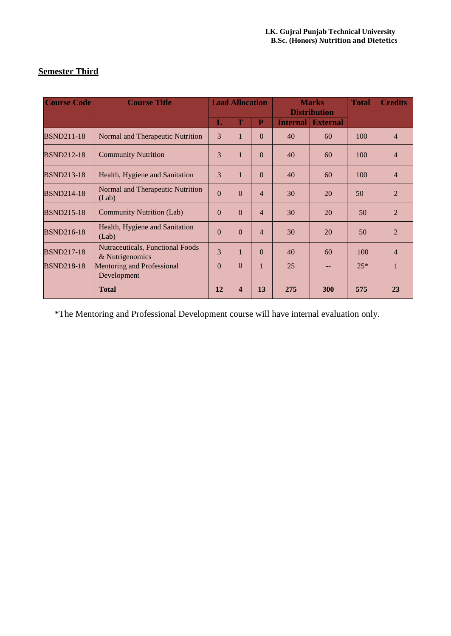| <b>Course Code</b> | <b>Course Title</b>                                        | <b>Load Allocation</b> |                         | <b>Marks</b><br><b>Distribution</b> |                 |                 | <b>Total</b> | <b>Credits</b> |
|--------------------|------------------------------------------------------------|------------------------|-------------------------|-------------------------------------|-----------------|-----------------|--------------|----------------|
|                    |                                                            | L                      | T                       | $\overline{P}$                      | <b>Internal</b> | <b>External</b> |              |                |
| <b>BSND211-18</b>  | Normal and Therapeutic Nutrition                           | $\overline{3}$         | 1                       | $\Omega$                            | 40              | 60              | 100          | $\overline{4}$ |
| <b>BSND212-18</b>  | <b>Community Nutrition</b>                                 | 3                      | $\mathbf{1}$            | $\Omega$                            | 40              | 60              | 100          | $\overline{4}$ |
| <b>BSND213-18</b>  | Health, Hygiene and Sanitation                             | 3                      | 1                       | $\Omega$                            | 40              | 60              | 100          | $\overline{4}$ |
| <b>BSND214-18</b>  | Normal and Therapeutic Nutrition<br>(Lab)                  | $\Omega$               | $\Omega$                | $\overline{4}$                      | 30              | 20              | 50           | $\overline{2}$ |
| <b>BSND215-18</b>  | <b>Community Nutrition (Lab)</b>                           | $\Omega$               | $\Omega$                | $\overline{4}$                      | 30              | 20              | 50           | $\overline{2}$ |
| <b>BSND216-18</b>  | Health, Hygiene and Sanitation<br>(Lab)                    | $\Omega$               | $\Omega$                | $\overline{4}$                      | 30              | 20              | 50           | $\overline{2}$ |
| <b>BSND217-18</b>  | <b>Nutraceuticals, Functional Foods</b><br>& Nutrigenomics | 3                      | 1                       | $\Omega$                            | 40              | 60              | 100          | $\overline{4}$ |
| <b>BSND218-18</b>  | Mentoring and Professional<br>Development                  | $\Omega$               | $\mathbf{0}$            | $\mathbf{1}$                        | 25              |                 | $25*$        | $\mathbf{1}$   |
|                    | <b>Total</b>                                               | 12                     | $\overline{\mathbf{4}}$ | 13                                  | 275             | 300             | 575          | 23             |

# **Semester Third**

\*The Mentoring and Professional Development course will have internal evaluation only.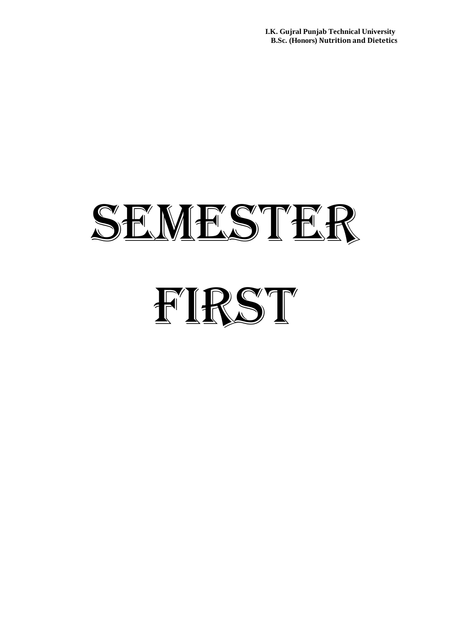**I.K. Gujral Punjab Technical University B.Sc. (Honors) Nutrition and Dietetics**

# SEMESTER FIRST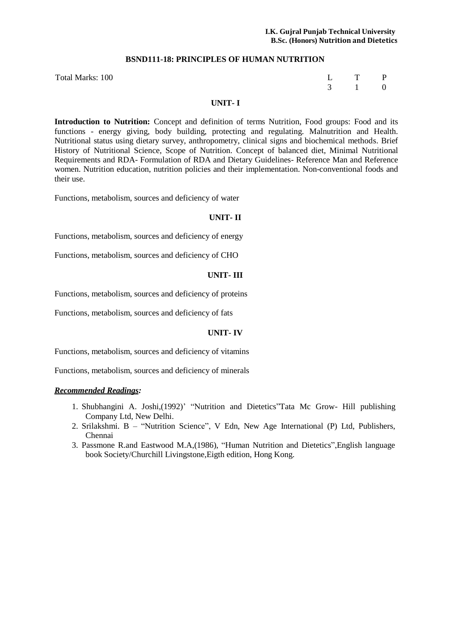#### **BSND111-18: PRINCIPLES OF HUMAN NUTRITION**

| L | т | P        |
|---|---|----------|
| 3 |   | $\theta$ |

#### Total Marks: 100

# **UNIT- I**

**Introduction to Nutrition:** Concept and definition of terms Nutrition, Food groups: Food and its functions - energy giving, body building, protecting and regulating. Malnutrition and Health. Nutritional status using dietary survey, anthropometry, clinical signs and biochemical methods. Brief History of Nutritional Science, Scope of Nutrition. Concept of balanced diet, Minimal Nutritional Requirements and RDA- Formulation of RDA and Dietary Guidelines- Reference Man and Reference women. Nutrition education, nutrition policies and their implementation. Non-conventional foods and their use.

Functions, metabolism, sources and deficiency of water

#### **UNIT- II**

Functions, metabolism, sources and deficiency of energy

Functions, metabolism, sources and deficiency of CHO

#### **UNIT- III**

Functions, metabolism, sources and deficiency of proteins

Functions, metabolism, sources and deficiency of fats

# **UNIT- IV**

Functions, metabolism, sources and deficiency of vitamins

Functions, metabolism, sources and deficiency of minerals

#### *Recommended Readings:*

- 1. Shubhangini A. Joshi,(1992)' "Nutrition and Dietetics"Tata Mc Grow- Hill publishing Company Ltd, New Delhi.
- 2. Srilakshmi. B "Nutrition Science", V Edn, New Age International (P) Ltd, Publishers, Chennai
- 3. Passmone R.and Eastwood M.A,(1986), "Human Nutrition and Dietetics",English language book Society/Churchill Livingstone,Eigth edition, Hong Kong.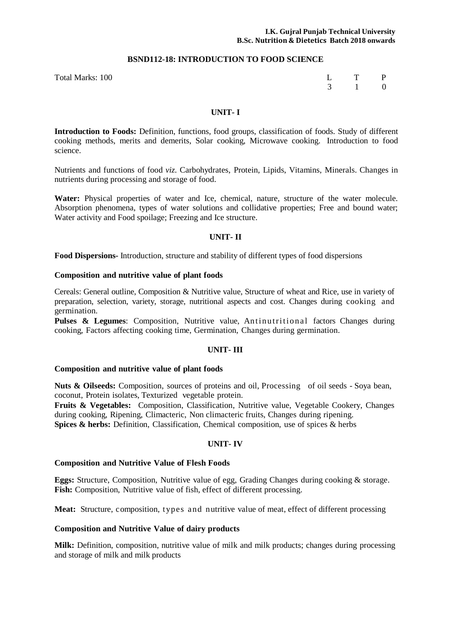#### **BSND112-18: INTRODUCTION TO FOOD SCIENCE**

Total Marks: 100 L T P 3 1 0

#### **UNIT- I**

**Introduction to Foods:** Definition, functions, food groups, classification of foods. Study of different cooking methods, merits and demerits, Solar cooking, Microwave cooking. Introduction to food science.

Nutrients and functions of food *viz.* Carbohydrates, Protein, Lipids, Vitamins, Minerals. Changes in nutrients during processing and storage of food.

**Water:** Physical properties of water and Ice, chemical, nature, structure of the water molecule. Absorption phenomena, types of water solutions and collidative properties; Free and bound water; Water activity and Food spoilage; Freezing and Ice structure.

#### **UNIT- II**

**Food Dispersions-** Introduction, structure and stability of different types of food dispersions

#### **Composition and nutritive value of plant foods**

Cereals: General outline, Composition & Nutritive value, Structure of wheat and Rice, use in variety of preparation, selection, variety, storage, nutritional aspects and cost. Changes during cooking and germination.

**Pulses & Legumes:** Composition, Nutritive value, Antinutritional factors Changes during cooking, Factors affecting cooking time, Germination, Changes during germination.

#### **UNIT- III**

#### **Composition and nutritive value of plant foods**

**Nuts & Oilseeds:** Composition, sources of proteins and oil, Processing of oil seeds - Soya bean, coconut, Protein isolates, Texturized vegetable protein.

**Fruits & Vegetables:** Composition, Classification, Nutritive value, Vegetable Cookery, Changes during cooking, Ripening, Climacteric, Non climacteric fruits, Changes during ripening. **Spices & herbs:** Definition, Classification, Chemical composition, use of spices & herbs

# **UNIT- IV**

#### **Composition and Nutritive Value of Flesh Foods**

**Eggs:** Structure, Composition, Nutritive value of egg, Grading Changes during cooking & storage. **Fish:** Composition, Nutritive value of fish, effect of different processing.

**Meat:** Structure, composition, types and nutritive value of meat, effect of different processing

#### **Composition and Nutritive Value of dairy products**

**Milk:** Definition, composition, nutritive value of milk and milk products; changes during processing and storage of milk and milk products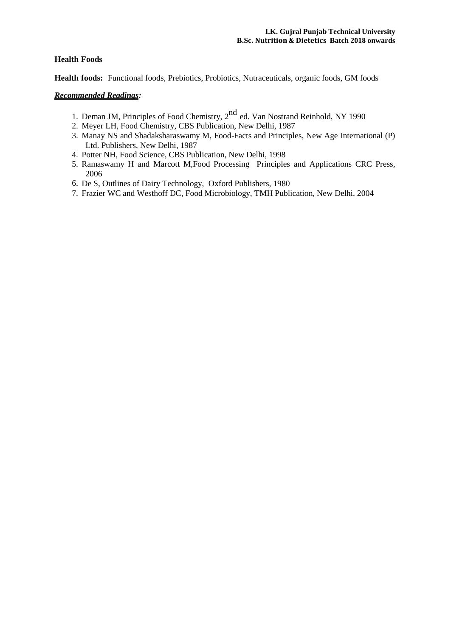# **Health Foods**

**Health foods:** Functional foods, Prebiotics, Probiotics, Nutraceuticals, organic foods, GM foods

# *Recommended Readings:*

- 1. Deman JM, Principles of Food Chemistry, 2<sup>nd</sup> ed. Van Nostrand Reinhold, NY 1990
- 2. Meyer LH, Food Chemistry, CBS Publication, New Delhi, 1987
- 3. Manay NS and Shadaksharaswamy M, Food-Facts and Principles, New Age International (P) Ltd. Publishers, New Delhi, 1987
- 4. Potter NH, Food Science, CBS Publication, New Delhi, 1998
- 5. Ramaswamy H and Marcott M,Food Processing Principles and Applications CRC Press, 2006
- 6. De S, Outlines of Dairy Technology, Oxford Publishers, 1980
- 7. Frazier WC and Westhoff DC, Food Microbiology, TMH Publication, New Delhi, 2004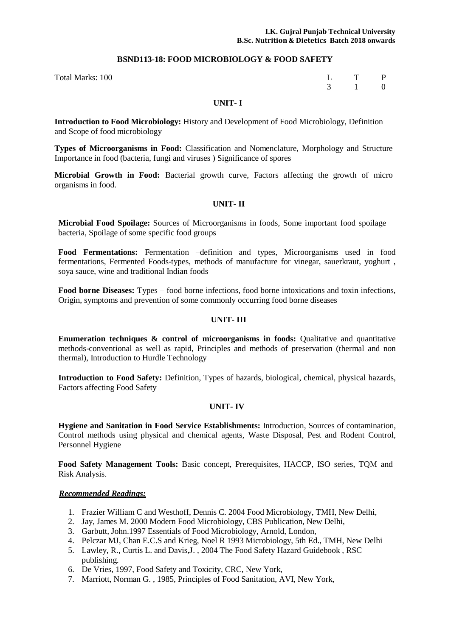# **BSND113-18: FOOD MICROBIOLOGY & FOOD SAFETY**

| 100 | L T P                 |  |
|-----|-----------------------|--|
|     | $3 \qquad 1 \qquad 0$ |  |

# **UNIT- I**

**Introduction to Food Microbiology:** History and Development of Food Microbiology, Definition and Scope of food microbiology

**Types of Microorganisms in Food:** Classification and Nomenclature, Morphology and Structure Importance in food (bacteria, fungi and viruses ) Significance of spores

**Microbial Growth in Food:** Bacterial growth curve, Factors affecting the growth of micro organisms in food.

# **UNIT- II**

**Microbial Food Spoilage:** Sources of Microorganisms in foods, Some important food spoilage bacteria, Spoilage of some specific food groups

**Food Fermentations:** Fermentation –definition and types, Microorganisms used in food fermentations, Fermented Foods-types, methods of manufacture for vinegar, sauerkraut, yoghurt , soya sauce, wine and traditional Indian foods

**Food borne Diseases:** Types – food borne infections, food borne intoxications and toxin infections, Origin, symptoms and prevention of some commonly occurring food borne diseases

# **UNIT- III**

**Enumeration techniques & control of microorganisms in foods:** Qualitative and quantitative methods-conventional as well as rapid, Principles and methods of preservation (thermal and non thermal), Introduction to Hurdle Technology

**Introduction to Food Safety:** Definition, Types of hazards, biological, chemical, physical hazards, Factors affecting Food Safety

# **UNIT- IV**

**Hygiene and Sanitation in Food Service Establishments:** Introduction, Sources of contamination, Control methods using physical and chemical agents, Waste Disposal, Pest and Rodent Control, Personnel Hygiene

**Food Safety Management Tools:** Basic concept, Prerequisites, HACCP, ISO series, TQM and Risk Analysis.

# *Recommended Readings:*

Total Marks:

- 1. Frazier William C and Westhoff, Dennis C. 2004 Food Microbiology, TMH, New Delhi,
- 2. Jay, James M. 2000 Modern Food Microbiology, CBS Publication, New Delhi,
- 3. Garbutt, John.1997 Essentials of Food Microbiology, Arnold, London,
- 4. Pelczar MJ, Chan E.C.S and Krieg, Noel R 1993 Microbiology, 5th Ed., TMH, New Delhi
- 5. Lawley, R., Curtis L. and Davis,J. , 2004 The Food Safety Hazard Guidebook , RSC publishing.
- 6. De Vries, 1997, Food Safety and Toxicity, CRC, New York,
- 7. Marriott, Norman G. , 1985, Principles of Food Sanitation, AVI, New York,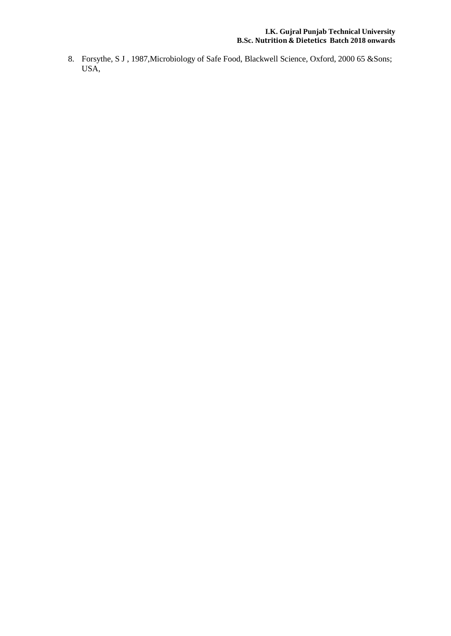8. Forsythe, S J , 1987,Microbiology of Safe Food, Blackwell Science, Oxford, 2000 65 &Sons; USA,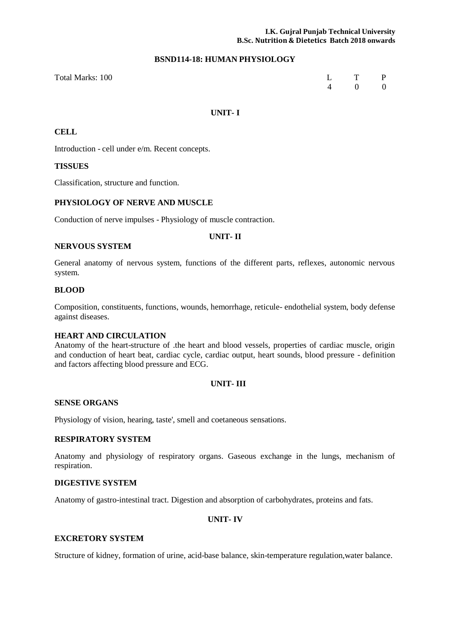# **BSND114-18: HUMAN PHYSIOLOGY**

| Total Marks: 100 | L T P |  |
|------------------|-------|--|
|                  | 4 0 0 |  |

# **UNIT- I**

# **CELL**

Introduction - cell under e/m. Recent concepts.

# **TISSUES**

Classification, structure and function.

# **PHYSIOLOGY OF NERVE AND MUSCLE**

Conduction of nerve impulses - Physiology of muscle contraction.

#### **UNIT- II**

#### **NERVOUS SYSTEM**

General anatomy of nervous system, functions of the different parts, reflexes, autonomic nervous system.

#### **BLOOD**

Composition, constituents, functions, wounds, hemorrhage, reticule- endothelial system, body defense against diseases.

# **HEART AND CIRCULATION**

Anatomy of the heart-structure of .the heart and blood vessels, properties of cardiac muscle, origin and conduction of heart beat, cardiac cycle, cardiac output, heart sounds, blood pressure - definition and factors affecting blood pressure and ECG.

# **UNIT- III**

# **SENSE ORGANS**

Physiology of vision, hearing, taste', smell and coetaneous sensations.

# **RESPIRATORY SYSTEM**

Anatomy and physiology of respiratory organs. Gaseous exchange in the lungs, mechanism of respiration.

# **DIGESTIVE SYSTEM**

Anatomy of gastro-intestinal tract. Digestion and absorption of carbohydrates, proteins and fats.

# **UNIT- IV**

# **EXCRETORY SYSTEM**

Structure of kidney, formation of urine, acid-base balance, skin-temperature regulation,water balance.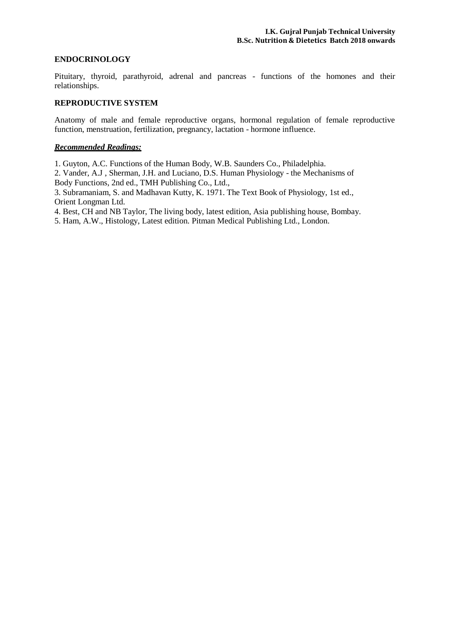# **ENDOCRINOLOGY**

Pituitary, thyroid, parathyroid, adrenal and pancreas - functions of the homones and their relationships.

# **REPRODUCTIVE SYSTEM**

Anatomy of male and female reproductive organs, hormonal regulation of female reproductive function, menstruation, fertilization, pregnancy, lactation - hormone influence.

# *Recommended Readings:*

1. Guyton, A.C. Functions of the Human Body, W.B. Saunders Co., Philadelphia.

2. Vander, A.J , Sherman, J.H. and Luciano, D.S. Human Physiology - the Mechanisms of Body Functions, 2nd ed., TMH Publishing Co., Ltd.,

3. Subramaniam, S. and Madhavan Kutty, K. 1971. The Text Book of Physiology, 1st ed., Orient Longman Ltd.

4. Best, CH and NB Taylor, The living body, latest edition, Asia publishing house, Bombay.

5. Ham, A.W., Histology, Latest edition. Pitman Medical Publishing Ltd., London.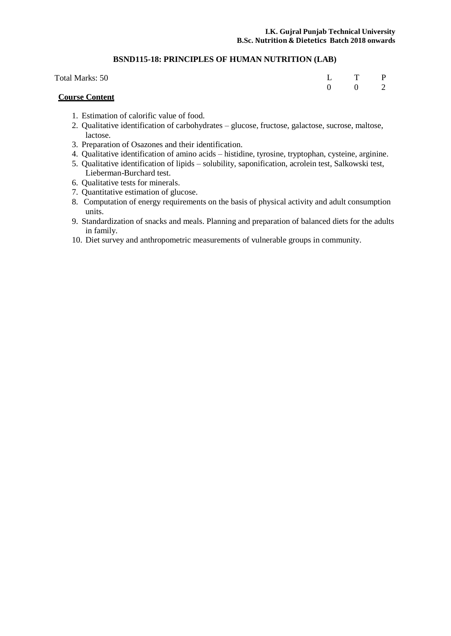# **BSND115-18: PRINCIPLES OF HUMAN NUTRITION (LAB)**

| Total Marks: 50 | L T P |                       |  |
|-----------------|-------|-----------------------|--|
|                 |       | $0 \qquad 0 \qquad 2$ |  |

# **Course Content**

- 1. Estimation of calorific value of food.
- 2. Qualitative identification of carbohydrates glucose, fructose, galactose, sucrose, maltose, lactose.
- 3. Preparation of Osazones and their identification.
- 4. Qualitative identification of amino acids histidine, tyrosine, tryptophan, cysteine, arginine.
- 5. Qualitative identification of lipids solubility, saponification, acrolein test, Salkowski test, Lieberman-Burchard test.
- 6. Qualitative tests for minerals.
- 7. Quantitative estimation of glucose.
- 8. Computation of energy requirements on the basis of physical activity and adult consumption units.
- 9. Standardization of snacks and meals. Planning and preparation of balanced diets for the adults in family.
- 10. Diet survey and anthropometric measurements of vulnerable groups in community.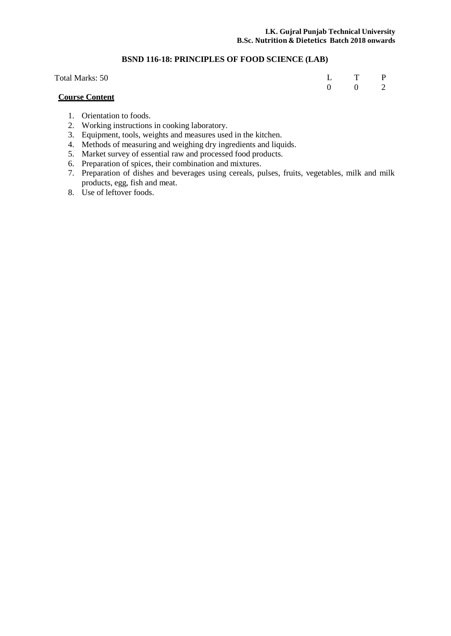# **BSND 116-18: PRINCIPLES OF FOOD SCIENCE (LAB)**

| Total Marks: 50       |  | L T P                 |  |
|-----------------------|--|-----------------------|--|
|                       |  | $0 \qquad 0 \qquad 2$ |  |
| <b>Course Content</b> |  |                       |  |

- 1. Orientation to foods.
- 2. Working instructions in cooking laboratory.
- 3. Equipment, tools, weights and measures used in the kitchen.
- 4. Methods of measuring and weighing dry ingredients and liquids.
- 5. Market survey of essential raw and processed food products.
- 6. Preparation of spices, their combination and mixtures.
- 7. Preparation of dishes and beverages using cereals, pulses, fruits, vegetables, milk and milk products, egg, fish and meat.
- 8. Use of leftover foods.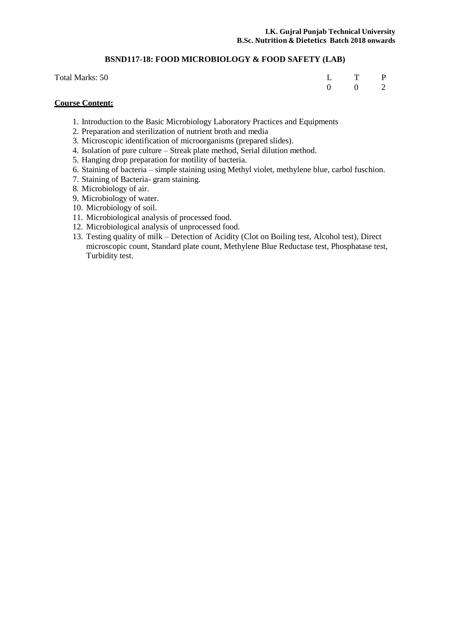# **BSND117-18: FOOD MICROBIOLOGY & FOOD SAFETY (LAB)**

| Total Marks: 50 | L T P                 |  |
|-----------------|-----------------------|--|
|                 | $0 \qquad 0 \qquad 2$ |  |

# **Course Content:**

- 1. Introduction to the Basic Microbiology Laboratory Practices and Equipments
- 2. Preparation and sterilization of nutrient broth and media
- 3. Microscopic identification of microorganisms (prepared slides).
- 4. Isolation of pure culture Streak plate method, Serial dilution method.
- 5. Hanging drop preparation for motility of bacteria.
- 6. Staining of bacteria simple staining using Methyl violet, methylene blue, carbol fuschion.
- 7. Staining of Bacteria- gram staining.
- 8. Microbiology of air.
- 9. Microbiology of water.
- 10. Microbiology of soil.
- 11. Microbiological analysis of processed food.
- 12. Microbiological analysis of unprocessed food.
- 13. Testing quality of milk Detection of Acidity (Clot on Boiling test, Alcohol test), Direct microscopic count, Standard plate count, Methylene Blue Reductase test, Phosphatase test, Turbidity test.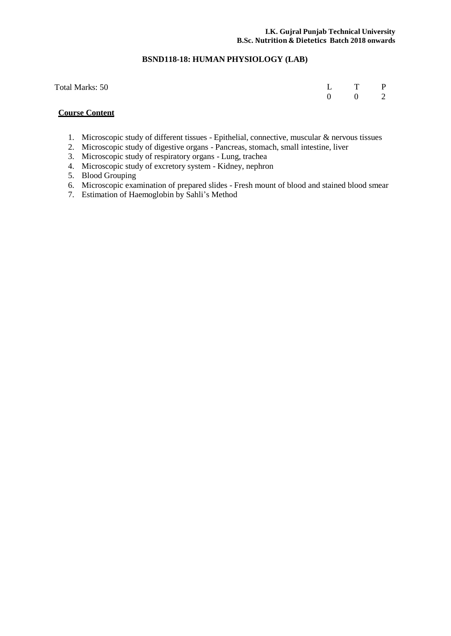# **BSND118-18: HUMAN PHYSIOLOGY (LAB)**

| Total Marks: 50 | L T P                 |  |
|-----------------|-----------------------|--|
|                 | $0 \qquad 0 \qquad 2$ |  |

# **Course Content**

- 1. Microscopic study of different tissues Epithelial, connective, muscular & nervous tissues
- 2. Microscopic study of digestive organs Pancreas, stomach, small intestine, liver
- 3. Microscopic study of respiratory organs Lung, trachea
- 4. Microscopic study of excretory system Kidney, nephron
- 5. Blood Grouping
- 6. Microscopic examination of prepared slides Fresh mount of blood and stained blood smear
- 7. Estimation of Haemoglobin by Sahli's Method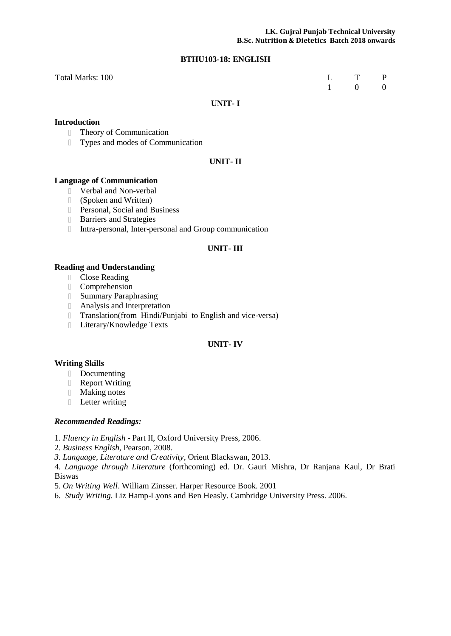# **BTHU103-18: ENGLISH**

| Total Marks: 100 | L T P               |  |
|------------------|---------------------|--|
|                  | $1 \quad 0 \quad 0$ |  |

# **UNIT- I**

# **Introduction**

- Theory of Communication
- Types and modes of Communication

# **UNIT- II**

# **Language of Communication**

- Verbal and Non-verbal
- (Spoken and Written)
- Personal, Social and Business
- **Barriers and Strategies**
- Intra-personal, Inter-personal and Group communication

#### **UNIT- III**

# **Reading and Understanding**

- Close Reading
- Comprehension
- Summary Paraphrasing
- Analysis and Interpretation
- Translation(from Hindi/Punjabi to English and vice-versa)
- **Literary/Knowledge Texts**

# **UNIT- IV**

# **Writing Skills**

- Documenting
- Report Writing
- Making notes
- **Letter writing**

# *Recommended Readings:*

- 1. *Fluency in English* Part II, Oxford University Press, 2006.
- 2. *Business English*, Pearson, 2008.
- *3. Language, Literature and Creativity*, Orient Blackswan, 2013.

4. *Language through Literature* (forthcoming) ed. Dr. Gauri Mishra, Dr Ranjana Kaul, Dr Brati Biswas

- 5. *On Writing Well*. William Zinsser. Harper Resource Book. 2001
- 6. *Study Writing.* Liz Hamp-Lyons and Ben Heasly. Cambridge University Press. 2006.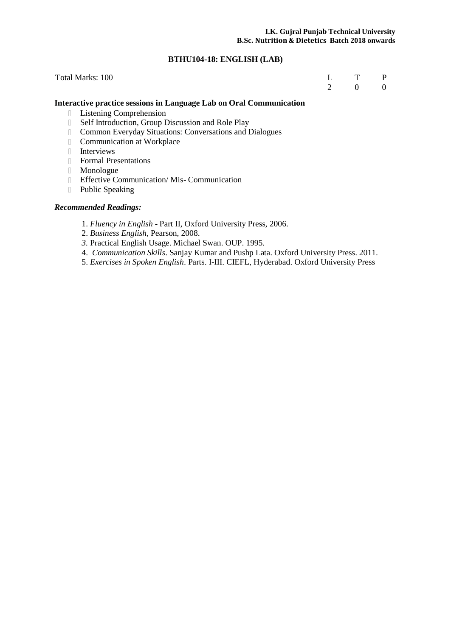# **BTHU104-18: ENGLISH (LAB)**

| Total Marks: 100 | L T P |  |
|------------------|-------|--|
|                  | 2 0 0 |  |

# **Interactive practice sessions in Language Lab on Oral Communication**

- Listening Comprehension
- **Self Introduction, Group Discussion and Role Play**
- Common Everyday Situations: Conversations and Dialogues
- **Communication at Workplace**
- Interviews
- Formal Presentations
- Monologue
- Effective Communication/ Mis- Communication
- Public Speaking

# *Recommended Readings:*

- 1. *Fluency in English* Part II, Oxford University Press, 2006.
- 2. *Business English*, Pearson, 2008.
- *3.* Practical English Usage. Michael Swan. OUP. 1995.
- 4. *Communication Skills*. Sanjay Kumar and Pushp Lata. Oxford University Press. 2011.
- 5. *Exercises in Spoken English*. Parts. I-III. CIEFL, Hyderabad. Oxford University Press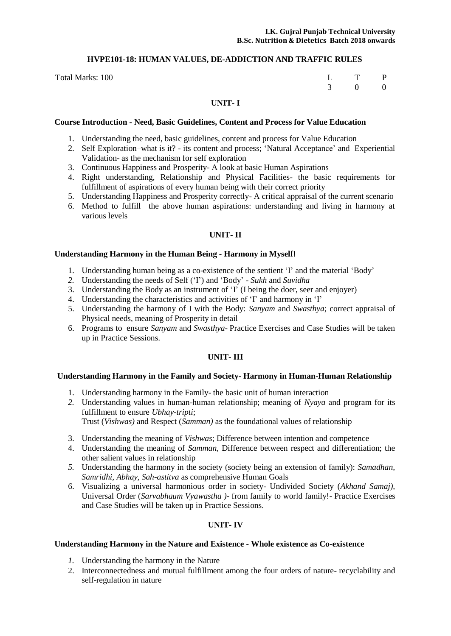# **HVPE101-18: HUMAN VALUES, DE-ADDICTION AND TRAFFIC RULES**

Total Marks: 100

| L | T        | P              |
|---|----------|----------------|
| 3 | $\Omega$ | $\overline{0}$ |

# **UNIT- I**

#### **Course Introduction - Need, Basic Guidelines, Content and Process for Value Education**

- 1. Understanding the need, basic guidelines, content and process for Value Education
- 2. Self Exploration–what is it? its content and process; 'Natural Acceptance' and Experiential Validation- as the mechanism for self exploration
- 3. Continuous Happiness and Prosperity- A look at basic Human Aspirations
- 4. Right understanding, Relationship and Physical Facilities- the basic requirements for fulfillment of aspirations of every human being with their correct priority
- 5. Understanding Happiness and Prosperity correctly- A critical appraisal of the current scenario
- 6. Method to fulfill the above human aspirations: understanding and living in harmony at various levels

#### **UNIT- II**

#### **Understanding Harmony in the Human Being - Harmony in Myself!**

- 1. Understanding human being as a co-existence of the sentient 'I' and the material 'Body'
- *2.* Understanding the needs of Self ('I') and 'Body' *Sukh* and *Suvidha*
- 3. Understanding the Body as an instrument of 'I' (I being the doer, seer and enjoyer)
- 4. Understanding the characteristics and activities of 'I' and harmony in 'I'
- 5. Understanding the harmony of I with the Body: *Sanyam* and *Swasthya*; correct appraisal of Physical needs, meaning of Prosperity in detail
- 6. Programs to ensure *Sanyam* and *Swasthya* Practice Exercises and Case Studies will be taken up in Practice Sessions.

# **UNIT- III**

# **Understanding Harmony in the Family and Society- Harmony in Human-Human Relationship**

- 1. Understanding harmony in the Family- the basic unit of human interaction
- *2.* Understanding values in human-human relationship; meaning of *Nyaya* and program for its fulfillment to ensure *Ubhay-tripti*;

Trust (*Vishwas)* and Respect (*Samman)* as the foundational values of relationship

- 3. Understanding the meaning of *Vishwas*; Difference between intention and competence
- 4. Understanding the meaning of *Samman*, Difference between respect and differentiation; the other salient values in relationship
- *5.* Understanding the harmony in the society (society being an extension of family): *Samadhan, Samridhi, Abhay, Sah-astitva* as comprehensive Human Goals
- 6. Visualizing a universal harmonious order in society- Undivided Society (*Akhand Samaj),* Universal Order (*Sarvabhaum Vyawastha )*- from family to world family!- Practice Exercises and Case Studies will be taken up in Practice Sessions.

# **UNIT- IV**

#### **Understanding Harmony in the Nature and Existence - Whole existence as Co-existence**

- *1.* Understanding the harmony in the Nature
- 2. Interconnectedness and mutual fulfillment among the four orders of nature- recyclability and self-regulation in nature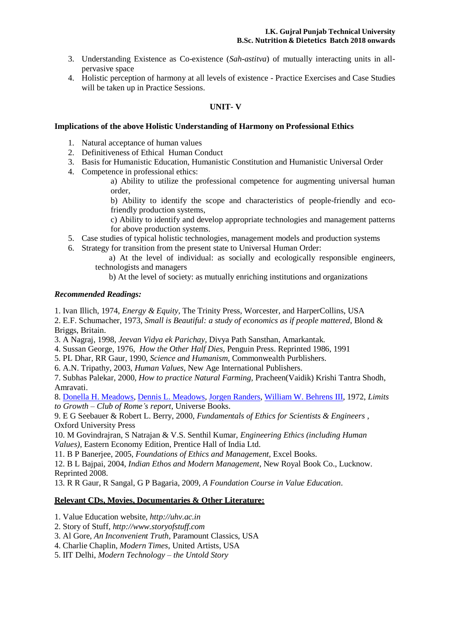- 3. Understanding Existence as Co-existence (*Sah-astitva*) of mutually interacting units in allpervasive space
- 4. Holistic perception of harmony at all levels of existence Practice Exercises and Case Studies will be taken up in Practice Sessions.

# **UNIT- V**

# **Implications of the above Holistic Understanding of Harmony on Professional Ethics**

- 1. Natural acceptance of human values
- 2. Definitiveness of Ethical Human Conduct
- 3. Basis for Humanistic Education, Humanistic Constitution and Humanistic Universal Order
- 4. Competence in professional ethics:

a) Ability to utilize the professional competence for augmenting universal human order,

b) Ability to identify the scope and characteristics of people-friendly and ecofriendly production systems,

c) Ability to identify and develop appropriate technologies and management patterns for above production systems.

- 5. Case studies of typical holistic technologies, management models and production systems
- 6. Strategy for transition from the present state to Universal Human Order:
	- a) At the level of individual: as socially and ecologically responsible engineers, technologists and managers

b) At the level of society: as mutually enriching institutions and organizations

# *Recommended Readings:*

1. Ivan Illich, 1974, *Energy & Equity,* The Trinity Press, Worcester, and HarperCollins, USA

2. E.F. Schumacher, 1973, *Small is Beautiful: a study of economics as if people mattered*, Blond & Briggs, Britain.

3. A Nagraj, 1998, *Jeevan Vidya ek Parichay,* Divya Path Sansthan, Amarkantak.

4. Sussan George, 1976, *How the Other Half Dies,* Penguin Press. Reprinted 1986, 1991

- 5. PL Dhar, RR Gaur, 1990, *Science and Humanism*, Commonwealth Purblishers.
- 6. A.N. Tripathy, 2003, *Human Values*, New Age International Publishers.

7. Subhas Palekar, 2000, *How to practice Natural Farming,* Pracheen(Vaidik) Krishi Tantra Shodh, Amravati.

8. Donella H. [Meadows, Dennis](http://en.wikipedia.org/wiki/Donella_Meadows) L. Meadows, Jorgen [Randers, William](http://en.wikipedia.org/wiki/J%C3%B8rgen_Randers) W. Behrens III, 1972, *Limits to Growth – Club of Rome's report*, Universe Books.

9. E G Seebauer & Robert L. Berry, 2000, *Fundamentals of Ethics for Scientists & Engineers ,* Oxford University Press

10. M Govindrajran, S Natrajan & V.S. Senthil Kumar, *Engineering Ethics (including Human Values)*, Eastern Economy Edition, Prentice Hall of India Ltd.

11. B P Banerjee, 2005, *Foundations of Ethics and Management,* Excel Books.

12. B L Bajpai, 2004, *Indian Ethos and Modern Management*, New Royal Book Co., Lucknow. Reprinted 2008.

13. R R Gaur, R Sangal, G P Bagaria, 2009, *A Foundation Course in Value Education*.

# **Relevant CDs, Movies, Documentaries & Other Literature:**

1. Value Education website, *[http://uhv.ac.in](http://uhv.ac.in/)*

- 2. Story of Stuff, *[http://www.storyofstuff.com](http://www.storyofstuff.com/)*
- 3. Al Gore, *An Inconvenient Truth*, Paramount Classics, USA
- 4. Charlie Chaplin, *Modern Times*, United Artists, USA
- 5. IIT Delhi, *Modern Technology – the Untold Story*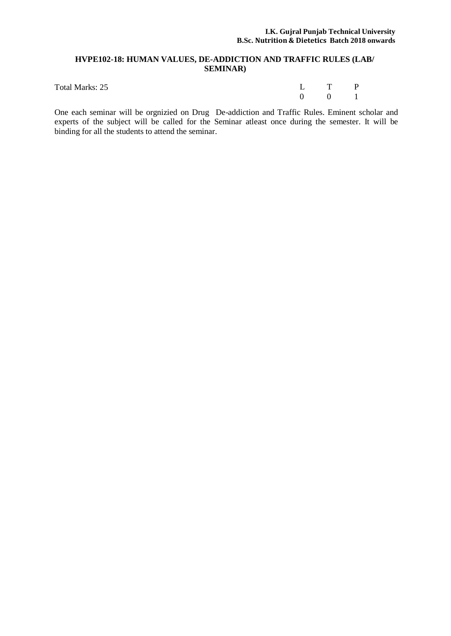# **HVPE102-18: HUMAN VALUES, DE-ADDICTION AND TRAFFIC RULES (LAB/ SEMINAR)**

| Total Marks: 25 | L T P                 |  |
|-----------------|-----------------------|--|
|                 | $0 \qquad 0 \qquad 1$ |  |

One each seminar will be orgnizied on Drug De-addiction and Traffic Rules. Eminent scholar and experts of the subject will be called for the Seminar atleast once during the semester. It will be binding for all the students to attend the seminar.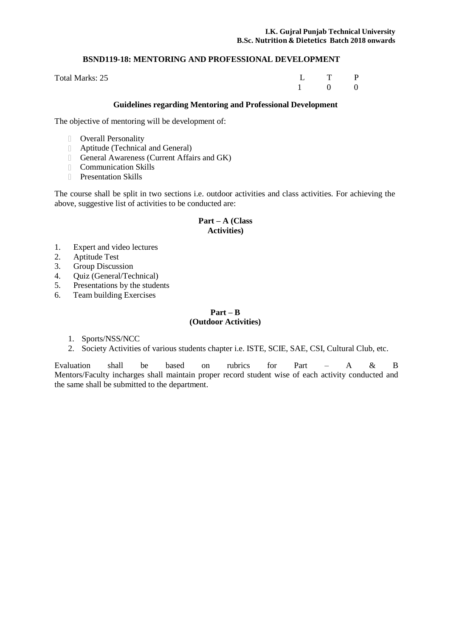# **BSND119-18: MENTORING AND PROFESSIONAL DEVELOPMENT**

Total Marks: 25

L T P 1 0 0

# **Guidelines regarding Mentoring and Professional Development**

The objective of mentoring will be development of:

- Overall Personality
- Aptitude (Technical and General)
- General Awareness (Current Affairs and GK)
- Communication Skills
- **Presentation Skills**

The course shall be split in two sections i.e. outdoor activities and class activities. For achieving the above, suggestive list of activities to be conducted are:

# **Part – A (Class Activities)**

- 1. Expert and video lectures
- 2. Aptitude Test
- 3. Group Discussion
- 4. Quiz (General/Technical)
- 5. Presentations by the students
- 6. Team building Exercises

# $Part - B$ **(Outdoor Activities)**

- 1. Sports/NSS/NCC
- 2. Society Activities of various students chapter i.e. ISTE, SCIE, SAE, CSI, Cultural Club, etc.

Evaluation shall be based on rubrics for Part – A & B Mentors/Faculty incharges shall maintain proper record student wise of each activity conducted and the same shall be submitted to the department.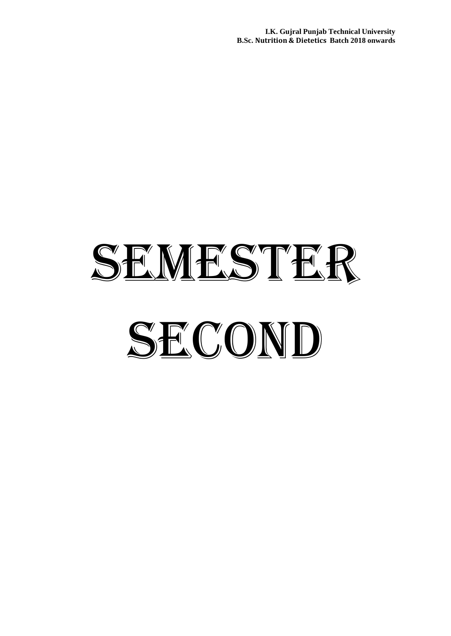**I.K. Gujral Punjab Technical University B.Sc. Nutrition & Dietetics Batch 2018 onwards**

# SEMESTER SECOND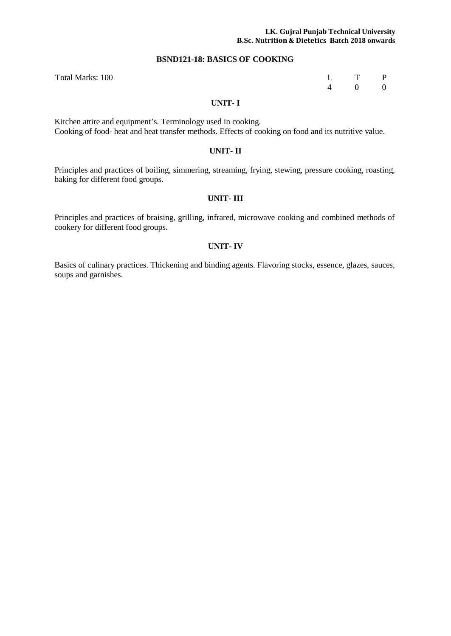#### **I.K. Gujral Punjab Technical University B.Sc. Nutrition & Dietetics Batch 2018 onwards**

#### **BSND121-18: BASICS OF COOKING**

| L | T        | $\overline{P}$   |
|---|----------|------------------|
| 4 | $\Omega$ | $\boldsymbol{0}$ |

Total Marks: 100

#### **UNIT- I**

Kitchen attire and equipment's. Terminology used in cooking. Cooking of food- heat and heat transfer methods. Effects of cooking on food and its nutritive value.

#### **UNIT- II**

Principles and practices of boiling, simmering, streaming, frying, stewing, pressure cooking, roasting, baking for different food groups.

# **UNIT- III**

Principles and practices of braising, grilling, infrared, microwave cooking and combined methods of cookery for different food groups.

#### **UNIT- IV**

Basics of culinary practices. Thickening and binding agents. Flavoring stocks, essence, glazes, sauces, soups and garnishes.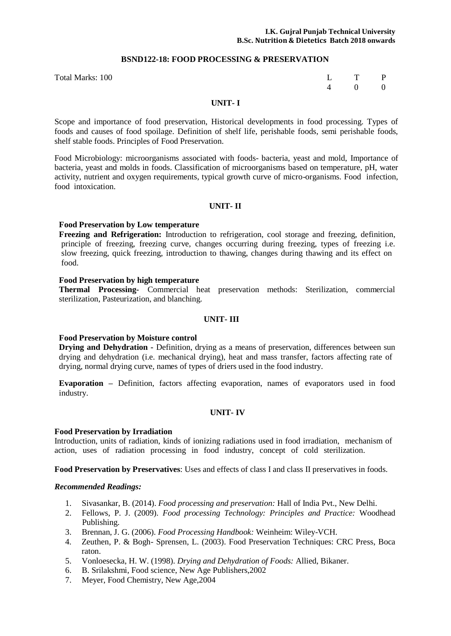#### **BSND122-18: FOOD PROCESSING & PRESERVATION**

| L | $\mathsf{T}$ | $\mathbf{P}$     |
|---|--------------|------------------|
| 4 | $\Omega$     | $\boldsymbol{0}$ |

#### **UNIT- I**

Scope and importance of food preservation, Historical developments in food processing. Types of foods and causes of food spoilage. Definition of shelf life, perishable foods, semi perishable foods, shelf stable foods. Principles of Food Preservation.

Food Microbiology: microorganisms associated with foods- bacteria, yeast and mold, Importance of bacteria, yeast and molds in foods. Classification of microorganisms based on temperature, pH, water activity, nutrient and oxygen requirements, typical growth curve of micro-organisms. Food infection, food intoxication.

#### **UNIT- II**

#### **Food Preservation by Low temperature**

Total Marks: 100 L

**Freezing and Refrigeration:** Introduction to refrigeration, cool storage and freezing, definition, principle of freezing, freezing curve, changes occurring during freezing, types of freezing i.e. slow freezing, quick freezing, introduction to thawing, changes during thawing and its effect on food.

#### **Food Preservation by high temperature**

**Thermal Processing-** Commercial heat preservation methods: Sterilization, commercial sterilization, Pasteurization, and blanching.

#### **UNIT- III**

#### **Food Preservation by Moisture control**

**Drying and Dehydration -** Definition, drying as a means of preservation, differences between sun drying and dehydration (i.e. mechanical drying), heat and mass transfer, factors affecting rate of drying, normal drying curve, names of types of driers used in the food industry.

**Evaporation –** Definition, factors affecting evaporation, names of evaporators used in food industry.

#### **UNIT- IV**

#### **Food Preservation by Irradiation**

Introduction, units of radiation, kinds of ionizing radiations used in food irradiation, mechanism of action, uses of radiation processing in food industry, concept of cold sterilization.

**Food Preservation by Preservatives**: Uses and effects of class I and class II preservatives in foods.

#### *Recommended Readings:*

- 1. Sivasankar, B. (2014). *Food processing and preservation:* Hall of India Pvt., New Delhi.
- 2. Fellows, P. J. (2009). *Food processing Technology: Principles and Practice:* Woodhead Publishing.
- 3. Brennan, J. G. (2006). *Food Processing Handbook:* Weinheim: Wiley-VCH.
- 4. Zeuthen, P. & Bogh- Sprensen, L. (2003). Food Preservation Techniques: CRC Press, Boca raton.
- 5. Vonloesecka, H. W. (1998). *Drying and Dehydration of Foods:* Allied, Bikaner.
- 6. B. Srilakshmi, Food science, New Age Publishers,2002
- 7. Meyer, Food Chemistry, New Age,2004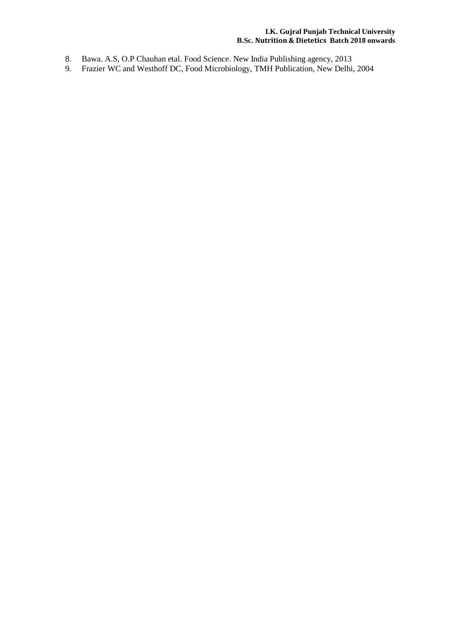# **I.K. Gujral Punjab Technical University B.Sc. Nutrition & Dietetics Batch 2018 onwards**

- 8. Bawa. A.S, O.P Chauhan etal. Food Science. New India Publishing agency, 2013
- 9. Frazier WC and Westhoff DC, Food Microbiology, TMH Publication, New Delhi, 2004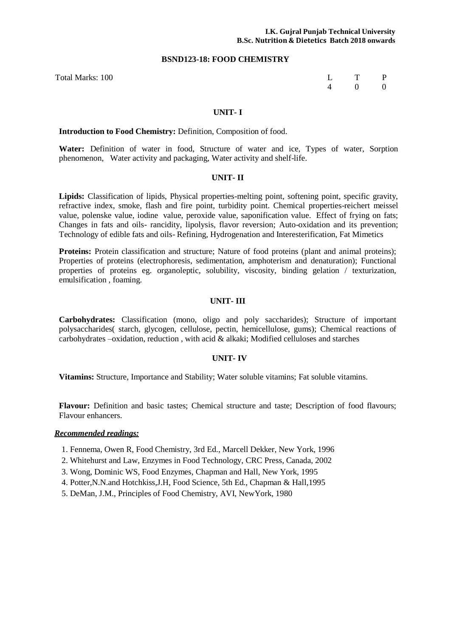#### **BSND123-18: FOOD CHEMISTRY**

Total Marks: 100 L T P 4 0 0

#### **UNIT- I**

**Introduction to Food Chemistry:** Definition, Composition of food.

**Water:** Definition of water in food, Structure of water and ice, Types of water, Sorption phenomenon, Water activity and packaging, Water activity and shelf-life.

#### **UNIT- II**

**Lipids:** Classification of lipids, Physical properties-melting point, softening point, specific gravity, refractive index, smoke, flash and fire point, turbidity point. Chemical properties-reichert meissel value, polenske value, iodine value, peroxide value, saponification value. Effect of frying on fats; Changes in fats and oils- rancidity, lipolysis, flavor reversion; Auto-oxidation and its prevention; Technology of edible fats and oils- Refining, Hydrogenation and Interesterification, Fat Mimetics

**Proteins:** Protein classification and structure; Nature of food proteins (plant and animal proteins); Properties of proteins (electrophoresis, sedimentation, amphoterism and denaturation); Functional properties of proteins eg. organoleptic, solubility, viscosity, binding gelation / texturization, emulsification , foaming.

#### **UNIT- III**

**Carbohydrates:** Classification (mono, oligo and poly saccharides); Structure of important polysaccharides( starch, glycogen, cellulose, pectin, hemicellulose, gums); Chemical reactions of carbohydrates –oxidation, reduction , with acid & alkaki; Modified celluloses and starches

#### **UNIT- IV**

**Vitamins:** Structure, Importance and Stability; Water soluble vitamins; Fat soluble vitamins.

**Flavour:** Definition and basic tastes; Chemical structure and taste; Description of food flavours; Flavour enhancers.

# *Recommended readings:*

- 1. Fennema, Owen R, Food Chemistry, 3rd Ed., Marcell Dekker, New York, 1996
- 2. Whitehurst and Law, Enzymes in Food Technology, CRC Press, Canada, 2002
- 3. Wong, Dominic WS, Food Enzymes, Chapman and Hall, New York, 1995
- 4. Potter,N.N.and Hotchkiss,J.H, Food Science, 5th Ed., Chapman & Hall,1995
- 5. DeMan, J.M., Principles of Food Chemistry, AVI, NewYork, 1980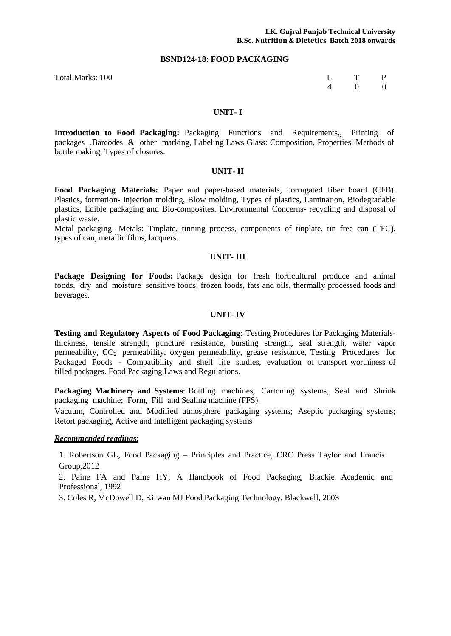#### **BSND124-18: FOOD PACKAGING**

Total Marks: 100 L T P

4 0 0

#### **UNIT- I**

**Introduction to Food Packaging:** Packaging Functions and Requirements,, Printing of packages .Barcodes & other marking, Labeling Laws Glass: Composition, Properties, Methods of bottle making, Types of closures.

#### **UNIT- II**

**Food Packaging Materials:** Paper and paper-based materials, corrugated fiber board (CFB). Plastics, formation- Injection molding, Blow molding, Types of plastics, Lamination, Biodegradable plastics, Edible packaging and Bio-composites. Environmental Concerns- recycling and disposal of plastic waste.

Metal packaging- Metals: Tinplate, tinning process, components of tinplate, tin free can (TFC), types of can, metallic films, lacquers.

#### **UNIT- III**

**Package Designing for Foods:** Package design for fresh horticultural produce and animal foods, dry and moisture sensitive foods, frozen foods, fats and oils, thermally processed foods and beverages.

#### **UNIT- IV**

**Testing and Regulatory Aspects of Food Packaging:** Testing Procedures for Packaging Materialsthickness, tensile strength, puncture resistance, bursting strength, seal strength, water vapor permeability, CO2 permeability, oxygen permeability, grease resistance, Testing Procedures for Packaged Foods - Compatibility and shelf life studies, evaluation of transport worthiness of filled packages. Food Packaging Laws and Regulations.

**Packaging Machinery and Systems**: Bottling machines, Cartoning systems, Seal and Shrink packaging machine; Form, Fill and Sealing machine (FFS).

Vacuum, Controlled and Modified atmosphere packaging systems; Aseptic packaging systems; Retort packaging, Active and Intelligent packaging systems

#### *Recommended readings*:

1. Robertson GL, Food Packaging – Principles and Practice, CRC Press Taylor and Francis Group,2012

2. Paine FA and Paine HY, A Handbook of Food Packaging, Blackie Academic and Professional, 1992

3. Coles R, McDowell D, Kirwan MJ Food Packaging Technology. Blackwell, 2003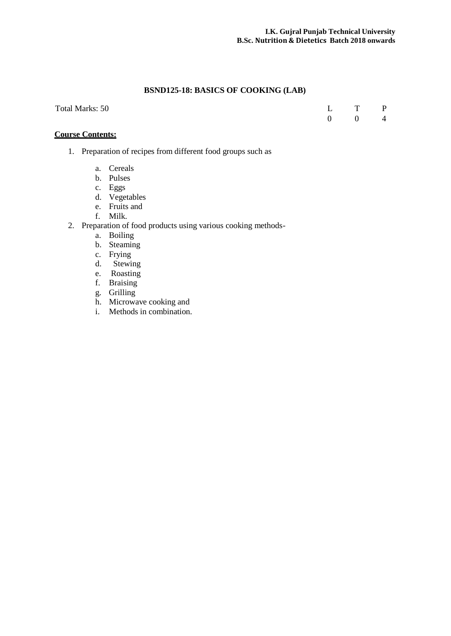# **BSND125-18: BASICS OF COOKING (LAB)**

|  | Total Marks: 50 |  |
|--|-----------------|--|
|--|-----------------|--|

Total Marks: 50 L T P  $\begin{array}{ccc} \textrm{L} & \textrm{T} & \textrm{P} \\ 0 & 0 & 4 \end{array}$ 

# **Course Contents:**

- 1. Preparation of recipes from different food groups such as
	- a. Cereals
	- b. Pulses
	- c. Eggs
	- d. Vegetables
	- e. Fruits and
	- f. Milk.
- 2. Preparation of food products using various cooking methods
	- a. Boiling
	- b. Steaming
	- c. Frying
	- d. Stewing
	- e. Roasting
	- f. Braising
	- g. Grilling
	- h. Microwave cooking and
	- i. Methods in combination.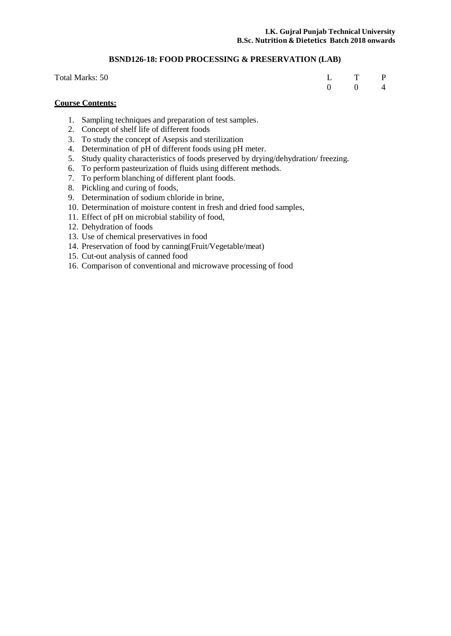# **BSND126-18: FOOD PROCESSING & PRESERVATION (LAB)**

| Total Marks: 50 | L T P                 |  |
|-----------------|-----------------------|--|
|                 | $0 \qquad 0 \qquad 4$ |  |

# **Course Contents:**

- 1. Sampling techniques and preparation of test samples.
- 2. Concept of shelf life of different foods
- 3. To study the concept of Asepsis and sterilization
- 4. Determination of pH of different foods using pH meter.
- 5. Study quality characteristics of foods preserved by drying/dehydration/ freezing.
- 6. To perform pasteurization of fluids using different methods.
- 7. To perform blanching of different plant foods.
- 8. Pickling and curing of foods,
- 9. Determination of sodium chloride in brine,
- 10. Determination of moisture content in fresh and dried food samples,
- 11. Effect of pH on microbial stability of food,
- 12. Dehydration of foods
- 13. Use of chemical preservatives in food
- 14. Preservation of food by canning(Fruit/Vegetable/meat)
- 15. Cut-out analysis of canned food
- 16. Comparison of conventional and microwave processing of food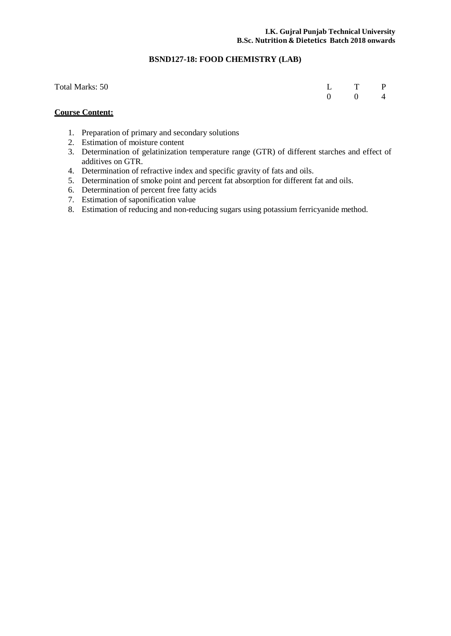# **BSND127-18: FOOD CHEMISTRY (LAB)**

| Total Marks: 50 | L T P                 |  |
|-----------------|-----------------------|--|
|                 | $0 \qquad 0 \qquad 4$ |  |

# **Course Content:**

- 1. Preparation of primary and secondary solutions
- 2. Estimation of moisture content
- 3. Determination of gelatinization temperature range (GTR) of different starches and effect of additives on GTR.
- 4. Determination of refractive index and specific gravity of fats and oils.
- 5. Determination of smoke point and percent fat absorption for different fat and oils.
- 6. Determination of percent free fatty acids
- 7. Estimation of saponification value
- 8. Estimation of reducing and non-reducing sugars using potassium ferricyanide method.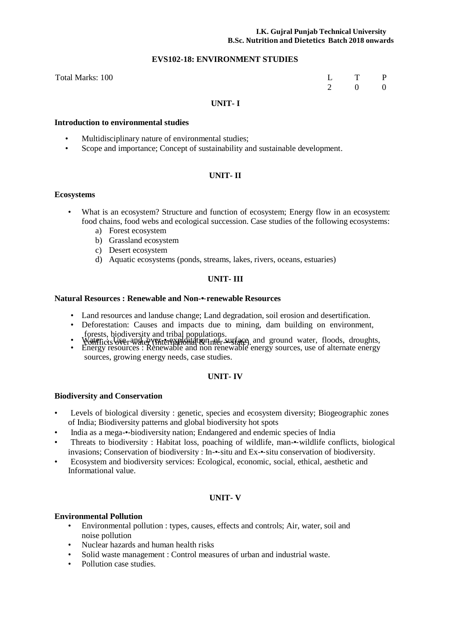#### **I.K. Gujral Punjab Technical University B.Sc. Nutrition and Dietetics Batch 2018 onwards**

#### **EVS102-18: ENVIRONMENT STUDIES**

| Total Marks: 100 | L T P |  |
|------------------|-------|--|
|                  | 2 0 0 |  |

# **UNIT- I**

#### **Introduction to environmental studies**

- Multidisciplinary nature of environmental studies;
- Scope and importance; Concept of sustainability and sustainable development.

# **UNIT- II**

#### **Ecosystems**

- What is an ecosystem? Structure and function of ecosystem; Energy flow in an ecosystem: food chains, food webs and ecological succession. Case studies of the following ecosystems:
	- a) Forest ecosystem
	- b) Grassland ecosystem
	- c) Desert ecosystem
	- d) Aquatic ecosystems (ponds, streams, lakes, rivers, oceans, estuaries)

# **UNIT- III**

#### **Natural Resources : Renewable and Non-•**‐**renewable Resources**

- Land resources and landuse change; Land degradation, soil erosion and desertification.
- Deforestation: Causes and impacts due to mining, dam building on environment,
- forests, biodiversity and tribal populations.<br>• World Tricks University and tribal populations.<br>• Energy resources : Renewable and non renewable energy sources, use of alternate energy
- sources, growing energy needs, case studies.

# **UNIT- IV**

#### **Biodiversity and Conservation**

- Levels of biological diversity : genetic, species and ecosystem diversity; Biogeographic zones of India; Biodiversity patterns and global biodiversity hot spots
- India as a mega-•‐biodiversity nation; Endangered and endemic species of India
- Threats to biodiversity : Habitat loss, poaching of wildlife, man-•‐wildlife conflicts, biological invasions; Conservation of biodiversity : In-•‐situ and Ex-•‐situ conservation of biodiversity.
- Ecosystem and biodiversity services: Ecological, economic, social, ethical, aesthetic and Informational value.

# **UNIT- V**

#### **Environmental Pollution**

- Environmental pollution : types, causes, effects and controls; Air, water, soil and noise pollution
- Nuclear hazards and human health risks
- Solid waste management : Control measures of urban and industrial waste.
- Pollution case studies.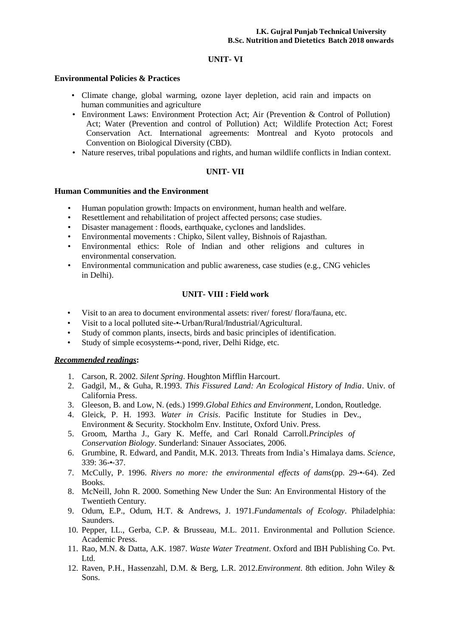# **UNIT- VI**

#### **Environmental Policies & Practices**

- Climate change, global warming, ozone layer depletion, acid rain and impacts on human communities and agriculture
- Environment Laws: Environment Protection Act; Air (Prevention & Control of Pollution) Act; Water (Prevention and control of Pollution) Act; Wildlife Protection Act; Forest Conservation Act. International agreements: Montreal and Kyoto protocols and Convention on Biological Diversity (CBD).
- Nature reserves, tribal populations and rights, and human wildlife conflicts in Indian context.

# **UNIT- VII**

# **Human Communities and the Environment**

- Human population growth: Impacts on environment, human health and welfare.<br>• Resettlement and rehabilitation of project affected persons; case studies.
- Resettlement and rehabilitation of project affected persons; case studies.
- Disaster management : floods, earthquake, cyclones and landslides.
- Environmental movements : Chipko, Silent valley, Bishnois of Rajasthan.
- Environmental ethics: Role of Indian and other religions and cultures in environmental conservation.
- Environmental communication and public awareness, case studies (e.g., CNG vehicles in Delhi).

# **UNIT- VIII : Field work**

- Visit to an area to document environmental assets: river/ forest/ flora/fauna, etc.
- Visit to a local polluted site-•-Urban/Rural/Industrial/Agricultural.
- Study of common plants, insects, birds and basic principles of identification.
- Study of simple ecosystems-•‐pond, river, Delhi Ridge, etc.

# *Recommended readings***:**

- 1. Carson, R. 2002. *Silent Spring*. Houghton Mifflin Harcourt.
- 2. Gadgil, M., & Guha, R.1993. *This Fissured Land: An Ecological History of India*. Univ. of California Press.
- 3. Gleeson, B. and Low, N. (eds.) 1999.*Global Ethics and Environment*, London, Routledge.
- 4. Gleick, P. H. 1993. *Water in Crisis*. Pacific Institute for Studies in Dev., Environment & Security. Stockholm Env. Institute, Oxford Univ. Press*.*
- 5. Groom, Martha J., Gary K. Meffe, and Carl Ronald Carroll.*Principles of Conservation Biology*. Sunderland: Sinauer Associates, 2006.
- 6. Grumbine, R. Edward, and Pandit, M.K. 2013. Threats from India's Himalaya dams. *Science,* 339: 36-•‐37.
- 7. McCully, P. 1996. *Rivers no more: the environmental effects of dams*(pp. 29-•‐64). Zed Books.
- 8. McNeill, John R. 2000. Something New Under the Sun: An Environmental History of the Twentieth Century.
- 9. Odum, E.P., Odum, H.T. & Andrews, J. 1971.*Fundamentals of Ecology*. Philadelphia: Saunders.
- 10. Pepper, I.L., Gerba, C.P. & Brusseau, M.L. 2011. Environmental and Pollution Science. Academic Press.
- 11. Rao, M.N. & Datta, A.K. 1987. *Waste Water Treatment*. Oxford and IBH Publishing Co. Pvt. Ltd.
- 12. Raven, P.H., Hassenzahl, D.M. & Berg, L.R. 2012.*Environment*. 8th edition. John Wiley & Sons.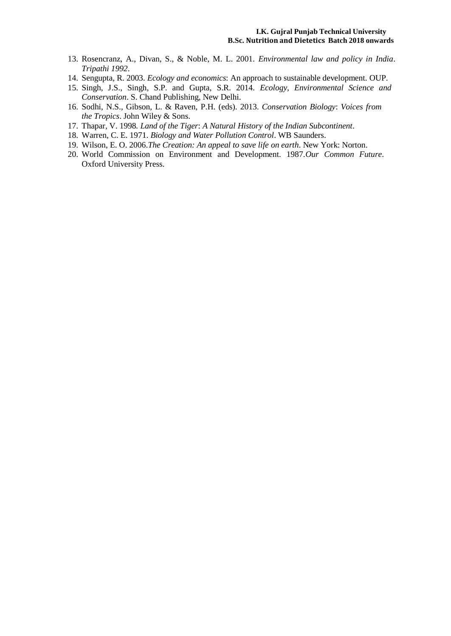- 13. Rosencranz, A., Divan, S., & Noble, M. L. 2001. *Environmental law and policy in India*. *Tripathi 1992*.
- 14. Sengupta, R. 2003. *Ecology and economics*: An approach to sustainable development. OUP.
- 15. Singh, J.S., Singh, S.P. and Gupta, S.R. 2014. *Ecology, Environmental Science and Conservation*. S. Chand Publishing, New Delhi.
- 16. Sodhi, N.S., Gibson, L. & Raven, P.H. (eds). 2013. *Conservation Biology*: *Voices from the Tropics*. John Wiley & Sons.
- 17. Thapar, V. 1998*. Land of the Tiger*: *A Natural History of the Indian Subcontinent*.
- 18. Warren, C. E. 1971. *Biology and Water Pollution Control*. WB Saunders.
- 19. Wilson, E. O. 2006.*The Creation: An appeal to save life on earth*. New York: Norton.
- 20. World Commission on Environment and Development. 1987.*Our Common Future*. Oxford University Press.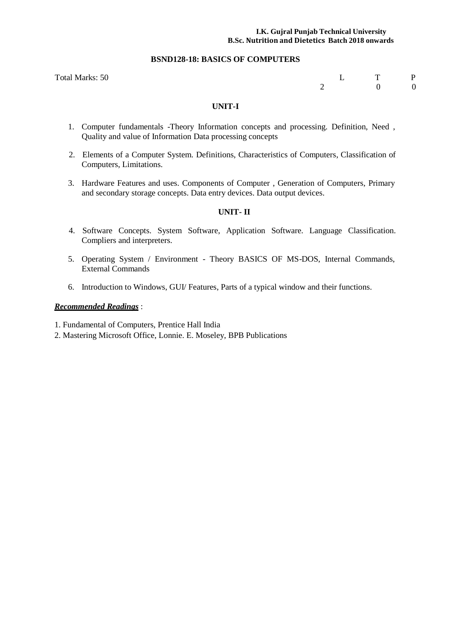#### **I.K. Gujral Punjab Technical University B.Sc. Nutrition and Dietetics Batch 2018 onwards**

#### **BSND128-18: BASICS OF COMPUTERS**

Total Marks: 50 L T P<br>
2 D 0 0 2 0 0

# **UNIT-I**

- 1. Computer fundamentals -Theory Information concepts and processing. Definition, Need , Quality and value of Information Data processing concepts
- 2. Elements of a Computer System. Definitions, Characteristics of Computers, Classification of Computers, Limitations.
- 3. Hardware Features and uses. Components of Computer , Generation of Computers, Primary and secondary storage concepts. Data entry devices. Data output devices.

#### **UNIT- II**

- 4. Software Concepts. System Software, Application Software. Language Classification. Compliers and interpreters.
- 5. Operating System / Environment Theory BASICS OF MS-DOS, Internal Commands, External Commands
- 6. Introduction to Windows, GUI/ Features, Parts of a typical window and their functions.

# *Recommended Readings* :

1. Fundamental of Computers, Prentice Hall India

2. Mastering Microsoft Office, Lonnie. E. Moseley, BPB Publications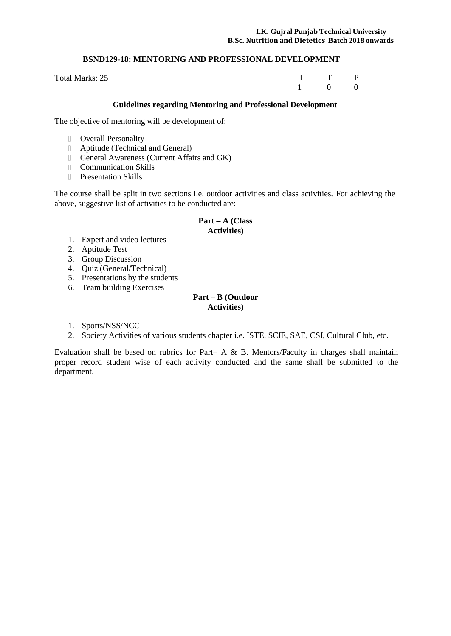# **BSND129-18: MENTORING AND PROFESSIONAL DEVELOPMENT**

Total Marks: 25

L T P 1 0 0

# **Guidelines regarding Mentoring and Professional Development**

The objective of mentoring will be development of:

- Overall Personality
- Aptitude (Technical and General)
- General Awareness (Current Affairs and GK)
- Communication Skills
- **Presentation Skills**

The course shall be split in two sections i.e. outdoor activities and class activities. For achieving the above, suggestive list of activities to be conducted are:

# **Part – A (Class Activities)**

- 1. Expert and video lectures
- 2. Aptitude Test
- 3. Group Discussion
- 4. Quiz (General/Technical)
- 5. Presentations by the students
- 6. Team building Exercises

# **Part – B (Outdoor Activities)**

- 1. Sports/NSS/NCC
- 2. Society Activities of various students chapter i.e. ISTE, SCIE, SAE, CSI, Cultural Club, etc.

Evaluation shall be based on rubrics for Part– A & B. Mentors/Faculty in charges shall maintain proper record student wise of each activity conducted and the same shall be submitted to the department.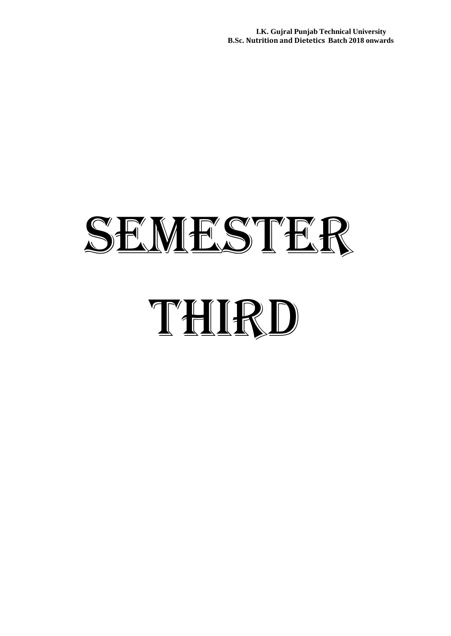**I.K. Gujral Punjab Technical University B.Sc. Nutrition and Dietetics Batch 2018 onwards**

# SEMESTER THIRD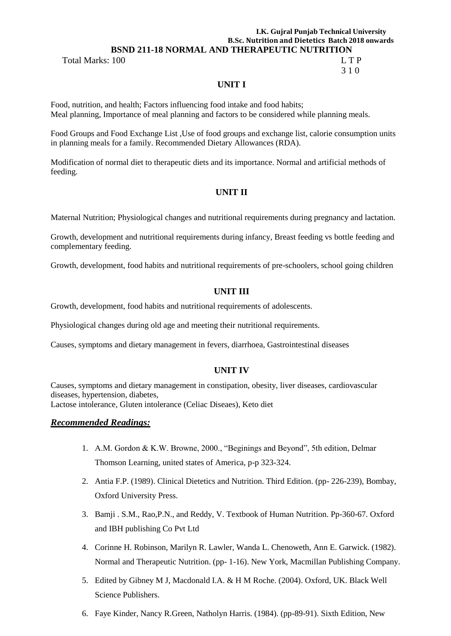### **I.K. Gujral Punjab Technical University B.Sc. Nutrition and Dietetics Batch 2018 onwards BSND 211-18 NORMAL AND THERAPEUTIC NUTRITION**

Total Marks: 100 L T P

# 3 1 0

# **UNIT I**

Food, nutrition, and health; Factors influencing food intake and food habits; Meal planning, Importance of meal planning and factors to be considered while planning meals.

Food Groups and Food Exchange List ,Use of food groups and exchange list, calorie consumption units in planning meals for a family. Recommended Dietary Allowances (RDA).

Modification of normal diet to therapeutic diets and its importance. Normal and artificial methods of feeding.

# **UNIT II**

Maternal Nutrition; Physiological changes and nutritional requirements during pregnancy and lactation.

Growth, development and nutritional requirements during infancy, Breast feeding vs bottle feeding and complementary feeding.

Growth, development, food habits and nutritional requirements of pre-schoolers, school going children

# **UNIT III**

Growth, development, food habits and nutritional requirements of adolescents.

Physiological changes during old age and meeting their nutritional requirements.

Causes, symptoms and dietary management in fevers, diarrhoea, Gastrointestinal diseases

# **UNIT IV**

Causes, symptoms and dietary management in constipation, obesity, liver diseases, cardiovascular diseases, hypertension, diabetes, Lactose intolerance, Gluten intolerance (Celiac Diseaes), Keto diet

# *Recommended Readings:*

- 1. A.M. Gordon & K.W. Browne, 2000., "Beginings and Beyond", 5th edition, Delmar Thomson Learning, united states of America, p-p 323-324.
- 2. Antia F.P. (1989). Clinical Dietetics and Nutrition. Third Edition. (pp- 226-239), Bombay, Oxford University Press.
- 3. Bamji . S.M., Rao,P.N., and Reddy, V. Textbook of Human Nutrition. Pp-360-67. Oxford and IBH publishing Co Pvt Ltd
- 4. Corinne H. Robinson, Marilyn R. Lawler, Wanda L. Chenoweth, Ann E. Garwick. (1982). Normal and Therapeutic Nutrition. (pp- 1-16). New York, Macmillan Publishing Company.
- 5. Edited by Gibney M J, Macdonald I.A. & H M Roche. (2004). Oxford, UK. Black Well Science Publishers.
- 6. Faye Kinder, Nancy R.Green, Natholyn Harris. (1984). (pp-89-91). Sixth Edition, New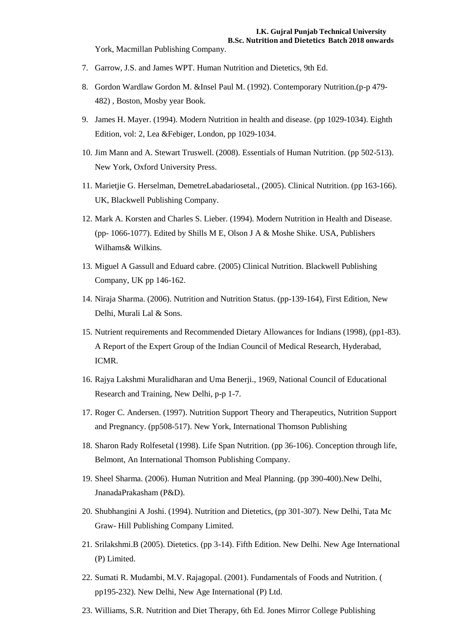York, Macmillan Publishing Company.

- 7. Garrow, J.S. and James WPT. Human Nutrition and Dietetics, 9th Ed.
- 8. Gordon Wardlaw Gordon M. &Insel Paul M. (1992). Contemporary Nutrition.(p-p 479- 482) , Boston, Mosby year Book.
- 9. James H. Mayer. (1994). Modern Nutrition in health and disease. (pp 1029-1034). Eighth Edition, vol: 2, Lea &Febiger, London, pp 1029-1034.
- 10. Jim Mann and A. Stewart Truswell. (2008). Essentials of Human Nutrition. (pp 502-513). New York, Oxford University Press.
- 11. Marietjie G. Herselman, DemetreLabadariosetal., (2005). Clinical Nutrition. (pp 163-166). UK, Blackwell Publishing Company.
- 12. Mark A. Korsten and Charles S. Lieber. (1994). Modern Nutrition in Health and Disease. (pp- 1066-1077). Edited by Shills M E, Olson J A & Moshe Shike. USA, Publishers Wilhams& Wilkins.
- 13. Miguel A Gassull and Eduard cabre. (2005) Clinical Nutrition. Blackwell Publishing Company, UK pp 146-162.
- 14. Niraja Sharma. (2006). Nutrition and Nutrition Status. (pp-139-164), First Edition, New Delhi, Murali Lal & Sons.
- 15. Nutrient [requirements](http://ecoursesonline.iasri.res.in/mod/page/view.php?id=21492) and Recommended Dietary Allowances for Indians (1998), (pp1-83). A Report of the Expert Group of the Indian Council of Medical Research, Hyderabad, ICMR.
- 16. Rajya Lakshmi Muralidharan and Uma Benerji., 1969, National Council of Educational Research and Training, New Delhi, p-p 1-7.
- 17. Roger C. Andersen. (1997). Nutrition Support Theory and Therapeutics, Nutrition Support and Pregnancy. (pp508-517). New York, International Thomson Publishing
- 18. Sharon Rady Rolfesetal (1998). Life Span Nutrition. (pp 36-106). Conception through life, Belmont, An International Thomson Publishing Company.
- 19. Sheel Sharma. (2006). Human Nutrition and Meal Planning. (pp 390-400).New Delhi, JnanadaPrakasham (P&D).
- 20. Shubhangini A Joshi. (1994). Nutrition and Dietetics, (pp 301-307). New Delhi, Tata Mc Graw- Hill Publishing Company Limited.
- 21. Srilakshmi.B (2005). Dietetics. (pp 3-14). Fifth Edition. New Delhi. New Age International (P) Limited.
- 22. Sumati R. Mudambi, M.V. Rajagopal. (2001). Fundamentals of Foods and Nutrition. ( pp195-232). New Delhi, New Age International (P) Ltd.
- 23. Williams, S.R. Nutrition and Diet Therapy, 6th Ed. Jones Mirror College Publishing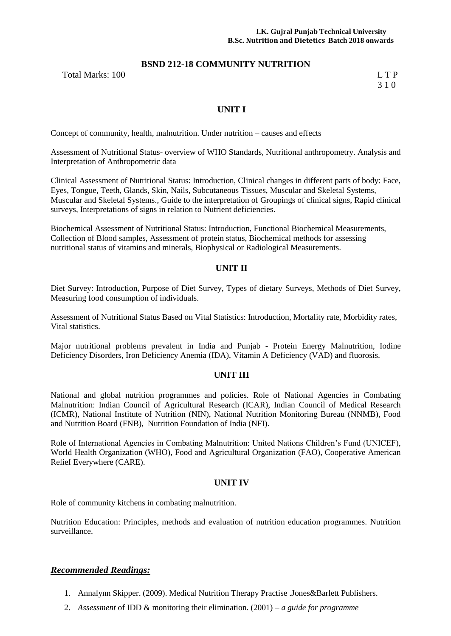# **BSND 212-18 COMMUNITY NUTRITION**

Total Marks: 100 L T P

3 1 0

# **UNIT I**

Concept of community, health, malnutrition. Under nutrition – causes and effects

Assessment of Nutritional Status- overview of WHO Standards, Nutritional anthropometry. Analysis and Interpretation of Anthropometric data

Clinical Assessment of Nutritional Status: Introduction, Clinical changes in different parts of body: Face, Eyes, Tongue, Teeth, Glands, Skin, Nails, Subcutaneous Tissues, Muscular and Skeletal Systems, Muscular and Skeletal Systems., Guide to the interpretation of Groupings of clinical signs, Rapid clinical surveys, Interpretations of signs in relation to Nutrient deficiencies.

Biochemical Assessment of Nutritional Status: Introduction, Functional Biochemical Measurements, Collection of Blood samples, Assessment of protein status, Biochemical methods for assessing nutritional status of vitamins and minerals, Biophysical or Radiological Measurements.

# **UNIT II**

Diet Survey: Introduction, Purpose of Diet Survey, Types of dietary Surveys, Methods of Diet Survey, Measuring food consumption of individuals.

Assessment of Nutritional Status Based on Vital Statistics: Introduction, Mortality rate, Morbidity rates, Vital statistics.

Major nutritional problems prevalent in India and Punjab - Protein Energy Malnutrition, Iodine Deficiency Disorders, Iron Deficiency Anemia (IDA), Vitamin A Deficiency (VAD) and fluorosis.

# **UNIT III**

National and global nutrition programmes and policies. Role of National Agencies in Combating Malnutrition: Indian Council of Agricultural Research (ICAR), Indian Council of Medical Research (ICMR), National Institute of Nutrition (NIN), National Nutrition Monitoring Bureau (NNMB), Food and Nutrition Board (FNB), Nutrition Foundation of India (NFI).

Role of International Agencies in Combating Malnutrition: United Nations Children's Fund (UNICEF), World Health Organization (WHO), Food and Agricultural Organization (FAO), Cooperative American Relief Everywhere (CARE).

# **UNIT IV**

Role of community kitchens in combating malnutrition.

Nutrition Education: Principles, methods and evaluation of nutrition education programmes. Nutrition surveillance.

# *Recommended Readings:*

- 1. Annalynn Skipper. (2009). Medical Nutrition Therapy Practise .Jones&Barlett Publishers.
- 2. *Assessment* of IDD & monitoring their elimination. (2001) *a guide for programme*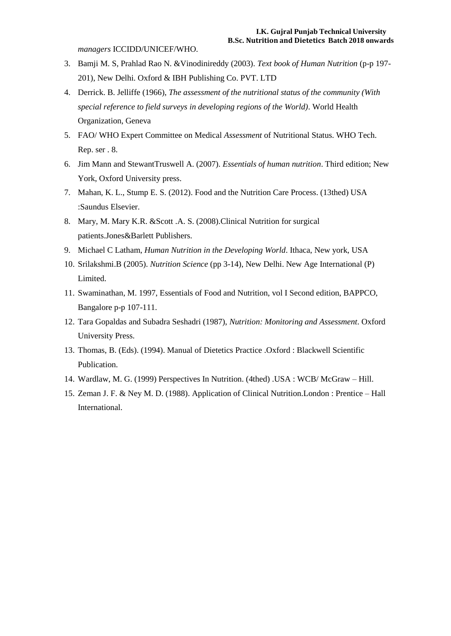*managers* ICCIDD/UNICEF/WHO.

- 3. Bamji M. S, Prahlad Rao N. &Vinodinireddy (2003). *Text book of Human Nutrition* (p-p 197- 201), New Delhi. Oxford & IBH Publishing Co. PVT. LTD
- 4. Derrick. B. Jelliffe (1966), *The assessment of the nutritional status of the community (With special reference to field surveys in developing regions of the World)*. World Health Organization, Geneva
- 5. FAO/ WHO Expert Committee on Medical *Assessment* of Nutritional Status. WHO Tech. Rep. ser . 8.
- 6. Jim Mann and StewantTruswell A. (2007). *Essentials of human nutrition*. Third edition; New York, Oxford University press.
- 7. Mahan, K. L., Stump E. S. (2012). Food and the Nutrition Care Process. (13thed) USA :Saundus Elsevier.
- 8. Mary, M. Mary K.R. &Scott .A. S. (2008).Clinical Nutrition for surgical patients.Jones&Barlett Publishers.
- 9. Michael C Latham, *Human Nutrition in the Developing World*. Ithaca, New york, USA
- 10. Srilakshmi.B (2005). *Nutrition Science* (pp 3-14), New Delhi. New Age International (P) Limited.
- 11. Swaminathan, M. 1997, Essentials of Food and Nutrition, vol I Second edition, BAPPCO, Bangalore p-p 107-111.
- 12. Tara Gopaldas and Subadra Seshadri (1987), *Nutrition: Monitoring and Assessment*. Oxford University Press.
- 13. Thomas, B. (Eds). (1994). Manual of Dietetics Practice .Oxford : Blackwell Scientific Publication.
- 14. Wardlaw, M. G. (1999) Perspectives In Nutrition. (4thed) .USA : WCB/ McGraw Hill.
- 15. Zeman J. F. & Ney M. D. (1988). Application of Clinical Nutrition.London : Prentice Hall International.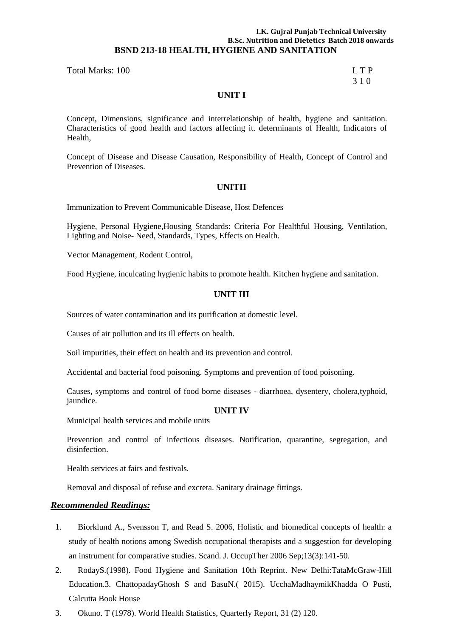# **I.K. Gujral Punjab Technical University B.Sc. Nutrition and Dietetics Batch 2018 onwards BSND 213-18 HEALTH, HYGIENE AND SANITATION**

# Total Marks: 100 L T P

# 3 1 0

# **UNIT I**

Concept, Dimensions, significance and interrelationship of health, hygiene and sanitation. Characteristics of good health and factors affecting it. determinants of Health, Indicators of Health,

Concept of Disease and Disease Causation, Responsibility of Health, Concept of Control and Prevention of Diseases.

# **UNITII**

Immunization to Prevent Communicable Disease, Host Defences

Hygiene, Personal Hygiene,Housing Standards: Criteria For Healthful Housing, Ventilation, Lighting and Noise- Need, Standards, Types, Effects on Health.

Vector Management, Rodent Control,

Food Hygiene, inculcating hygienic habits to promote health. Kitchen hygiene and sanitation.

# **UNIT III**

Sources of water contamination and its purification at domestic level.

Causes of air pollution and its ill effects on health.

Soil impurities, their effect on health and its prevention and control.

Accidental and bacterial food poisoning. Symptoms and prevention of food poisoning.

Causes, symptoms and control of food borne diseases - diarrhoea, dysentery, cholera,typhoid, jaundice.

# **UNIT IV**

Municipal health services and mobile units

Prevention and control of infectious diseases. Notification, quarantine, segregation, and disinfection.

Health services at fairs and festivals.

Removal and disposal of refuse and excreta. Sanitary drainage fittings.

# *Recommended Readings:*

- 1. Biorklund A., Svensson T, and Read S. 2006, Holistic and biomedical concepts of health: a study of health notions among Swedish occupational therapists and a suggestion for developing an instrument for comparative studies. Scand. J. OccupTher 2006 Sep;13(3):141-50.
- 2. RodayS.(1998). Food Hygiene and Sanitation 10th Reprint. New Delhi:TataMcGraw-Hill Education.3. ChattopadayGhosh S and BasuN.( 2015). UcchaMadhaymikKhadda O Pusti, Calcutta Book House

3. Okuno. T (1978). World Health Statistics, Quarterly Report, 31 (2) 120.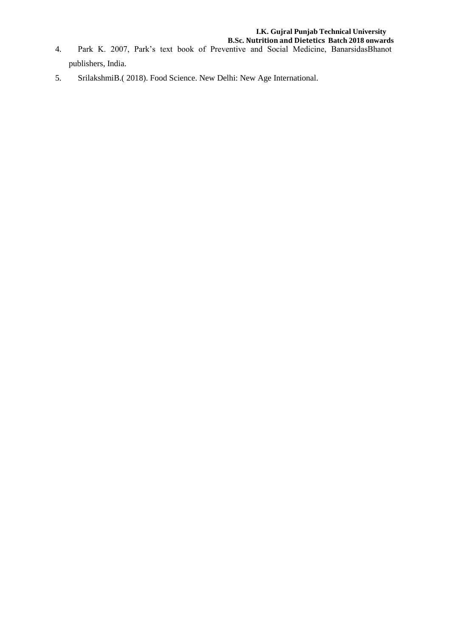- 4. Park K. 2007, Park's text book of Preventive and Social Medicine, BanarsidasBhanot publishers, India.
- 5. SrilakshmiB.( 2018). Food Science. New Delhi: New Age International.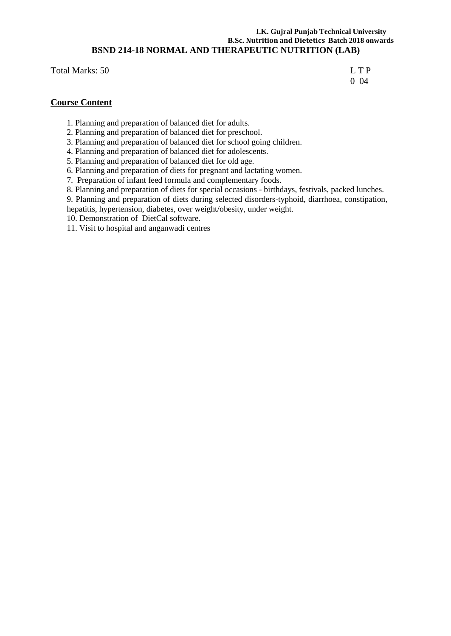# **I.K. Gujral Punjab Technical University B.Sc. Nutrition and Dietetics Batch 2018 onwards BSND 214-18 NORMAL AND THERAPEUTIC NUTRITION (LAB)**

Total Marks: 50 L T P

0 04

# **Course Content**

- 1. Planning and preparation of balanced diet for adults.
- 2. Planning and preparation of balanced diet for preschool.
- 3. Planning and preparation of balanced diet for school going children.
- 4. Planning and preparation of balanced diet for adolescents.
- 5. Planning and preparation of balanced diet for old age.
- 6. Planning and preparation of diets for pregnant and lactating women.
- 7. Preparation of infant feed formula and complementary foods.
- 8. Planning and preparation of diets for special occasions birthdays, festivals, packed lunches.
- 9. Planning and preparation of diets during selected disorders-typhoid, diarrhoea, constipation,
- hepatitis, hypertension, diabetes, over weight/obesity, under weight.
- 10. Demonstration of DietCal software.
- 11. Visit to hospital and anganwadi centres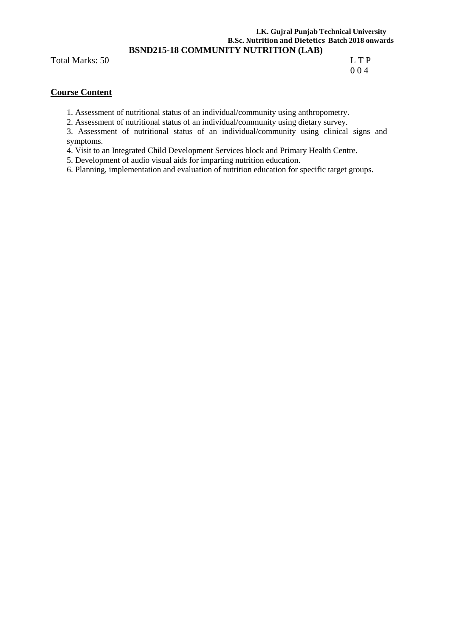# **I.K. Gujral Punjab Technical University B.Sc. Nutrition and Dietetics Batch 2018 onwards BSND215-18 COMMUNITY NUTRITION (LAB)**

Total Marks: 50 L T P

0 0 4

# **Course Content**

1. Assessment of nutritional status of an individual/community using anthropometry.

2. Assessment of nutritional status of an individual/community using dietary survey.

3. Assessment of nutritional status of an individual/community using clinical signs and symptoms.

4. Visit to an Integrated Child Development Services block and Primary Health Centre.

5. Development of audio visual aids for imparting nutrition education.

6. Planning, implementation and evaluation of nutrition education for specific target groups.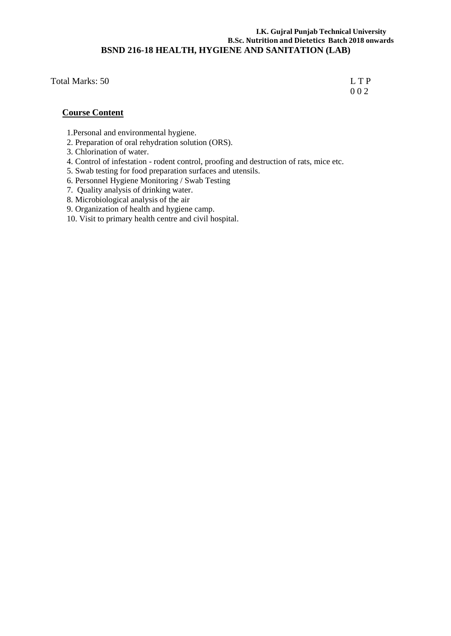# **I.K. Gujral Punjab Technical University B.Sc. Nutrition and Dietetics Batch 2018 onwards BSND 216-18 HEALTH, HYGIENE AND SANITATION (LAB)**

Total Marks: 50 L T P

0 0 2

# **Course Content**

- 1.Personal and environmental hygiene.
- 2. Preparation of oral rehydration solution (ORS).
- 3. Chlorination of water.
- 4. Control of infestation rodent control, proofing and destruction of rats, mice etc.
- 5. Swab testing for food preparation surfaces and utensils.
- 6. Personnel Hygiene Monitoring / Swab Testing
- 7. Quality analysis of drinking water.
- 8. Microbiological analysis of the air
- 9. Organization of health and hygiene camp.
- 10. Visit to primary health centre and civil hospital.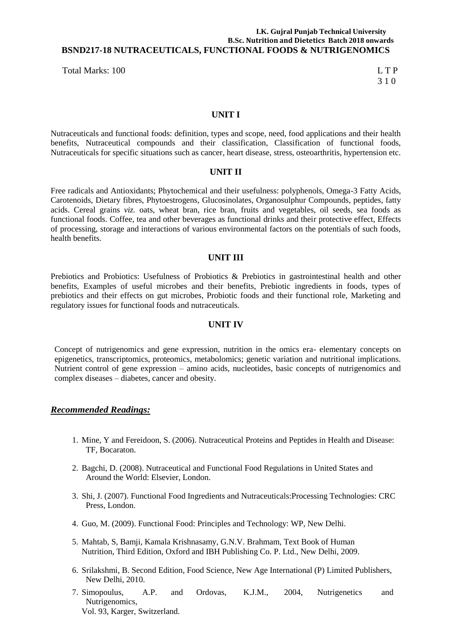# **I.K. Gujral Punjab Technical University B.Sc. Nutrition and Dietetics Batch 2018 onwards BSND217-18 NUTRACEUTICALS, FUNCTIONAL FOODS & NUTRIGENOMICS**

Total Marks: 100 L T P

3 1 0

# **UNIT I**

Nutraceuticals and functional foods: definition, types and scope, need, food applications and their health benefits, Nutraceutical compounds and their classification, Classification of functional foods, Nutraceuticals for specific situations such as cancer, heart disease, stress, osteoarthritis, hypertension etc.

# **UNIT II**

Free radicals and Antioxidants; Phytochemical and their usefulness: polyphenols, Omega-3 Fatty Acids, Carotenoids, Dietary fibres, Phytoestrogens, Glucosinolates, Organosulphur Compounds, peptides, fatty acids. Cereal grains *viz.* oats, wheat bran, rice bran, fruits and vegetables, oil seeds, sea foods as functional foods. Coffee, tea and other beverages as functional drinks and their protective effect, Effects of processing, storage and interactions of various environmental factors on the potentials of such foods, health benefits.

# **UNIT III**

Prebiotics and Probiotics: Usefulness of Probiotics & Prebiotics in gastrointestinal health and other benefits, Examples of useful microbes and their benefits, Prebiotic ingredients in foods, types of prebiotics and their effects on gut microbes, Probiotic foods and their functional role, Marketing and regulatory issues for functional foods and nutraceuticals.

# **UNIT IV**

Concept of nutrigenomics and gene expression, nutrition in the omics era- elementary concepts on epigenetics, transcriptomics, proteomics, metabolomics; genetic variation and nutritional implications. Nutrient control of gene expression – amino acids, nucleotides, basic concepts of nutrigenomics and complex diseases – diabetes, cancer and obesity.

# *Recommended Readings:*

- 1. Mine, Y and Fereidoon, S. (2006). Nutraceutical Proteins and Peptides in Health and Disease: TF, Bocaraton.
- 2. Bagchi, D. (2008). Nutraceutical and Functional Food Regulations in United States and Around the World: Elsevier, London.
- 3. Shi, J. (2007). Functional Food Ingredients and Nutraceuticals:Processing Technologies: CRC Press, London.
- 4. Guo, M. (2009). Functional Food: Principles and Technology: WP, New Delhi.
- 5. Mahtab, S, Bamji, Kamala Krishnasamy, G.N.V. Brahmam, Text Book of Human Nutrition, Third Edition, Oxford and IBH Publishing Co. P. Ltd., New Delhi, 2009.
- 6. Srilakshmi, B. Second Edition, Food Science, New Age International (P) Limited Publishers, New Delhi, 2010.
- 7. Simopoulus, A.P. and Ordovas, K.J.M., 2004, Nutrigenetics and Nutrigenomics, Vol. 93, Karger, Switzerland.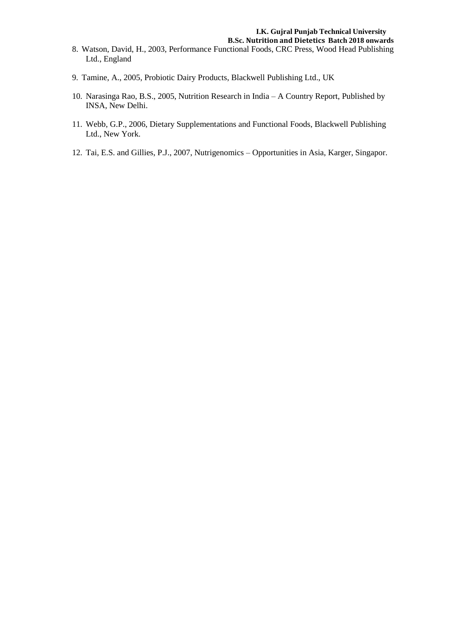- **B.Sc. Nutrition and Dietetics Batch 2018 onwards** 8. Watson, David, H., 2003, Performance Functional Foods, CRC Press, Wood Head Publishing Ltd., England
- 9. Tamine, A., 2005, Probiotic Dairy Products, Blackwell Publishing Ltd., UK
- 10. Narasinga Rao, B.S., 2005, Nutrition Research in India A Country Report, Published by INSA, New Delhi.
- 11. Webb, G.P., 2006, Dietary Supplementations and Functional Foods, Blackwell Publishing Ltd., New York.
- 12. Tai, E.S. and Gillies, P.J., 2007, Nutrigenomics Opportunities in Asia, Karger, Singapor.